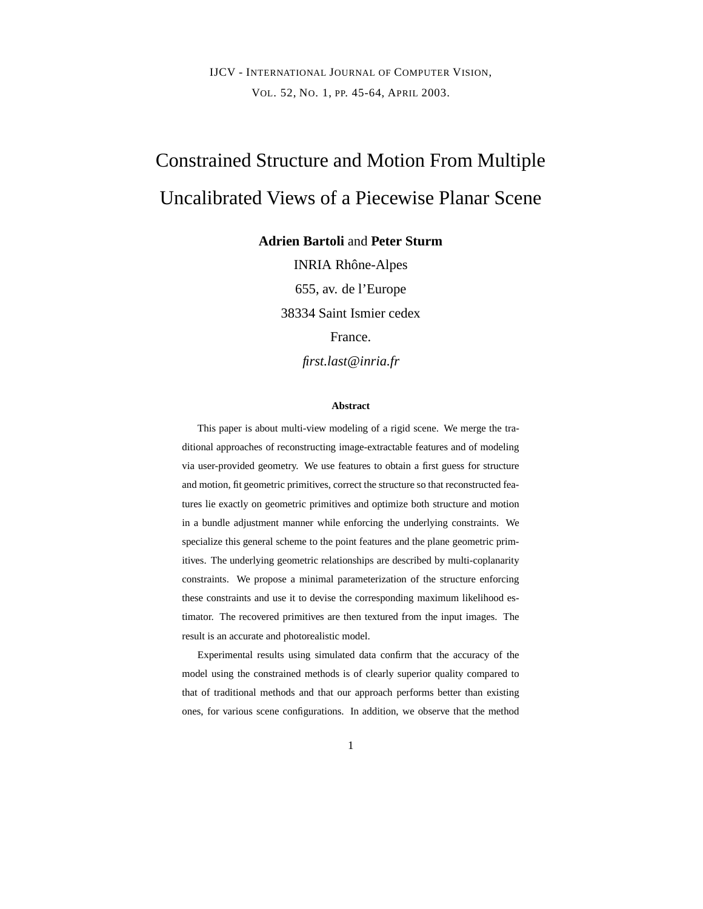IJCV - INTERNATIONAL JOURNAL OF COMPUTER VISION, VOL. 52, NO. 1, PP. 45-64, APRIL 2003.

# Constrained Structure and Motion From Multiple Uncalibrated Views of a Piecewise Planar Scene

**Adrien Bartoli** and **Peter Sturm**

INRIA Rhône-Alpes 655, av. de l'Europe 38334 Saint Ismier cedex France.

*first.last@inria.fr*

#### **Abstract**

This paper is about multi-view modeling of a rigid scene. We merge the traditional approaches of reconstructing image-extractable features and of modeling via user-provided geometry. We use features to obtain a first guess for structure and motion, fit geometric primitives, correct the structure so that reconstructed features lie exactly on geometric primitives and optimize both structure and motion in a bundle adjustment manner while enforcing the underlying constraints. We specialize this general scheme to the point features and the plane geometric primitives. The underlying geometric relationships are described by multi-coplanarity constraints. We propose a minimal parameterization of the structure enforcing these constraints and use it to devise the corresponding maximum likelihood estimator. The recovered primitives are then textured from the input images. The result is an accurate and photorealistic model.

Experimental results using simulated data confirm that the accuracy of the model using the constrained methods is of clearly superior quality compared to that of traditional methods and that our approach performs better than existing ones, for various scene configurations. In addition, we observe that the method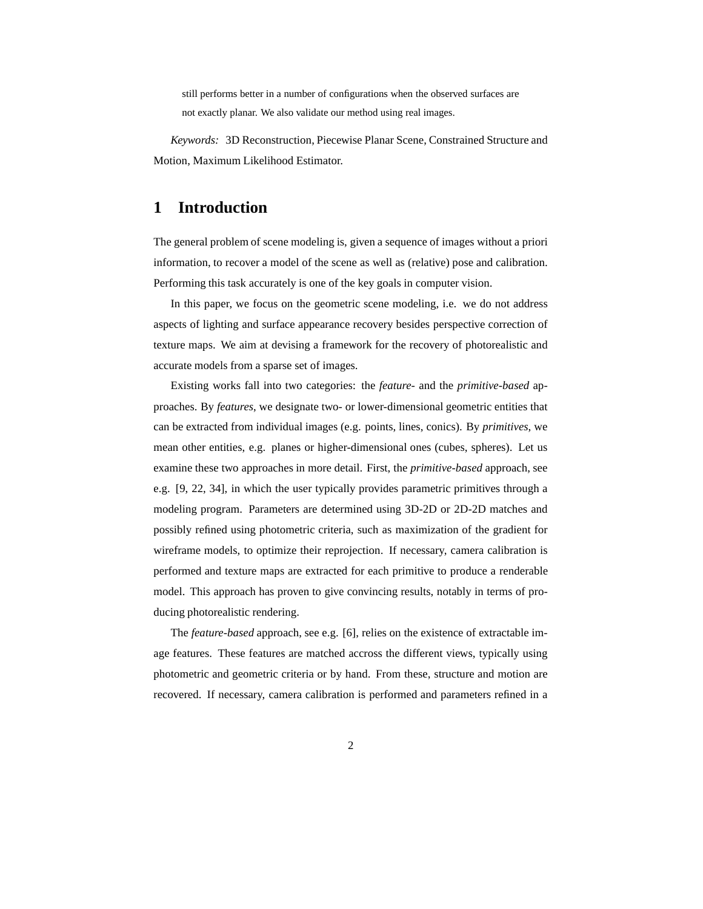still performs better in a number of configurations when the observed surfaces are not exactly planar. We also validate our method using real images.

*Keywords:* 3D Reconstruction, Piecewise Planar Scene, Constrained Structure and Motion, Maximum Likelihood Estimator.

# **1 Introduction**

The general problem of scene modeling is, given a sequence of images without a priori information, to recover a model of the scene as well as (relative) pose and calibration. Performing this task accurately is one of the key goals in computer vision.

In this paper, we focus on the geometric scene modeling, i.e. we do not address aspects of lighting and surface appearance recovery besides perspective correction of texture maps. We aim at devising a framework for the recovery of photorealistic and accurate models from a sparse set of images.

Existing works fall into two categories: the *feature-* and the *primitive-based* approaches. By *features*, we designate two- or lower-dimensional geometric entities that can be extracted from individual images (e.g. points, lines, conics). By *primitives*, we mean other entities, e.g. planes or higher-dimensional ones (cubes, spheres). Let us examine these two approaches in more detail. First, the *primitive-based* approach, see e.g. [9, 22, 34], in which the user typically provides parametric primitives through a modeling program. Parameters are determined using 3D-2D or 2D-2D matches and possibly refined using photometric criteria, such as maximization of the gradient for wireframe models, to optimize their reprojection. If necessary, camera calibration is performed and texture maps are extracted for each primitive to produce a renderable model. This approach has proven to give convincing results, notably in terms of producing photorealistic rendering.

The *feature-based* approach, see e.g. [6], relies on the existence of extractable image features. These features are matched accross the different views, typically using photometric and geometric criteria or by hand. From these, structure and motion are recovered. If necessary, camera calibration is performed and parameters refined in a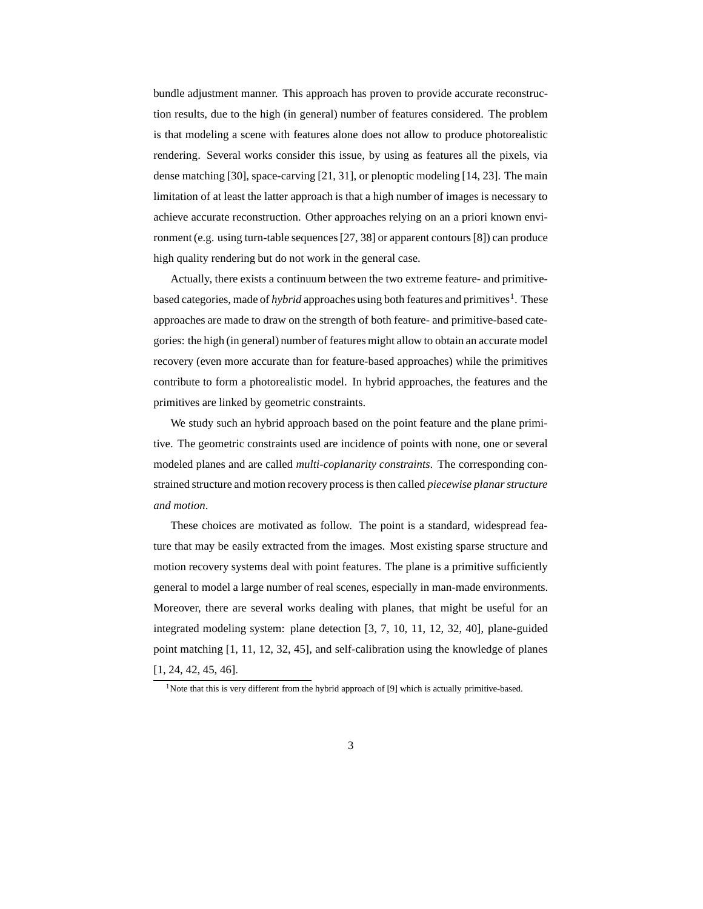bundle adjustment manner. This approach has proven to provide accurate reconstruction results, due to the high (in general) number of features considered. The problem is that modeling a scene with features alone does not allow to produce photorealistic rendering. Several works consider this issue, by using as features all the pixels, via dense matching [30], space-carving [21, 31], or plenoptic modeling [14, 23]. The main limitation of at least the latter approach is that a high number of images is necessary to achieve accurate reconstruction. Other approaches relying on an a priori known environment (e.g. using turn-table sequences[27, 38] or apparent contours[8]) can produce high quality rendering but do not work in the general case.

Actually, there exists a continuum between the two extreme feature- and primitivebased categories, made of *hybrid* approaches using both features and primitives<sup>1</sup>. These approaches are made to draw on the strength of both feature- and primitive-based categories: the high (in general) number of features might allow to obtain an accurate model recovery (even more accurate than for feature-based approaches) while the primitives contribute to form a photorealistic model. In hybrid approaches, the features and the primitives are linked by geometric constraints.

We study such an hybrid approach based on the point feature and the plane primitive. The geometric constraints used are incidence of points with none, one or several modeled planes and are called *multi-coplanarity constraints*. The corresponding constrained structure and motion recovery process is then called *piecewise planarstructure and motion*.

These choices are motivated as follow. The point is a standard, widespread feature that may be easily extracted from the images. Most existing sparse structure and motion recovery systems deal with point features. The plane is a primitive sufficiently general to model a large number of real scenes, especially in man-made environments. Moreover, there are several works dealing with planes, that might be useful for an integrated modeling system: plane detection [3, 7, 10, 11, 12, 32, 40], plane-guided point matching [1, 11, 12, 32, 45], and self-calibration using the knowledge of planes [1, 24, 42, 45, 46].

<sup>&</sup>lt;sup>1</sup>Note that this is very different from the hybrid approach of [9] which is actually primitive-based.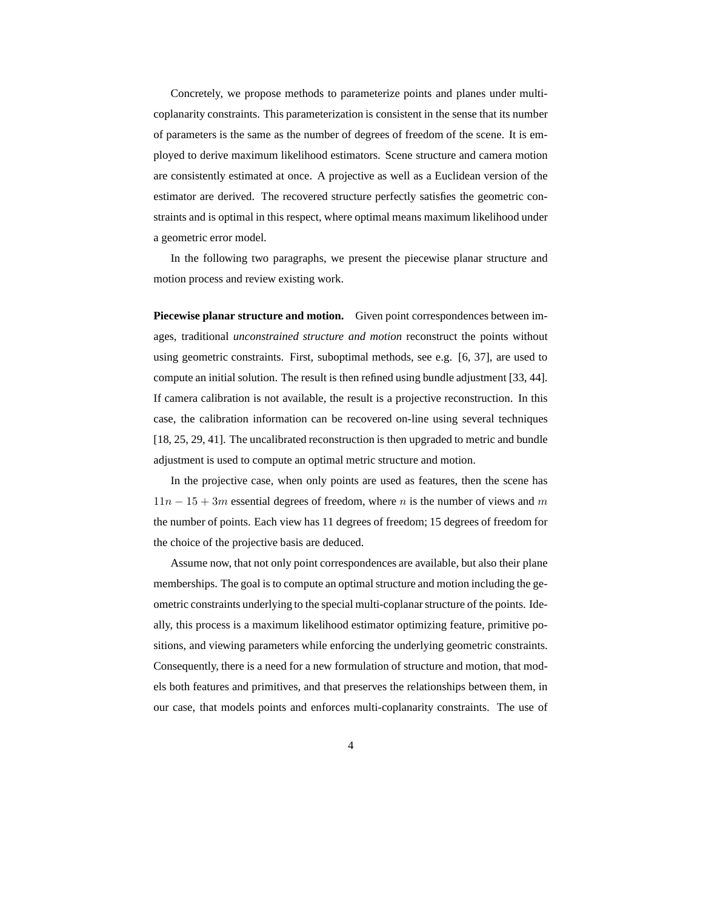Concretely, we propose methods to parameterize points and planes under multicoplanarity constraints. This parameterization is consistent in the sense that its number of parameters is the same as the number of degrees of freedom of the scene. It is employed to derive maximum likelihood estimators. Scene structure and camera motion are consistently estimated at once. A projective as well as a Euclidean version of the estimator are derived. The recovered structure perfectly satisfies the geometric constraints and is optimal in this respect, where optimal means maximum likelihood under a geometric error model.

In the following two paragraphs, we present the piecewise planar structure and motion process and review existing work.

**Piecewise planar structure and motion.** Given point correspondences between images, traditional *unconstrained structure and motion* reconstruct the points without using geometric constraints. First, suboptimal methods, see e.g. [6, 37], are used to compute an initial solution. The result is then refined using bundle adjustment [33, 44]. If camera calibration is not available, the result is a projective reconstruction. In this case, the calibration information can be recovered on-line using several techniques [18, 25, 29, 41]. The uncalibrated reconstruction is then upgraded to metric and bundle adjustment is used to compute an optimal metric structure and motion.

In the projective case, when only points are used as features, then the scene has  $11n - 15 + 3m$  essential degrees of freedom, where n is the number of views and m the number of points. Each view has 11 degrees of freedom; 15 degrees of freedom for the choice of the projective basis are deduced.

Assume now, that not only point correspondences are available, but also their plane memberships. The goal is to compute an optimal structure and motion including the geometric constraints underlying to the special multi-coplanarstructure of the points. Ideally, this process is a maximum likelihood estimator optimizing feature, primitive positions, and viewing parameters while enforcing the underlying geometric constraints. Consequently, there is a need for a new formulation of structure and motion, that models both features and primitives, and that preserves the relationships between them, in our case, that models points and enforces multi-coplanarity constraints. The use of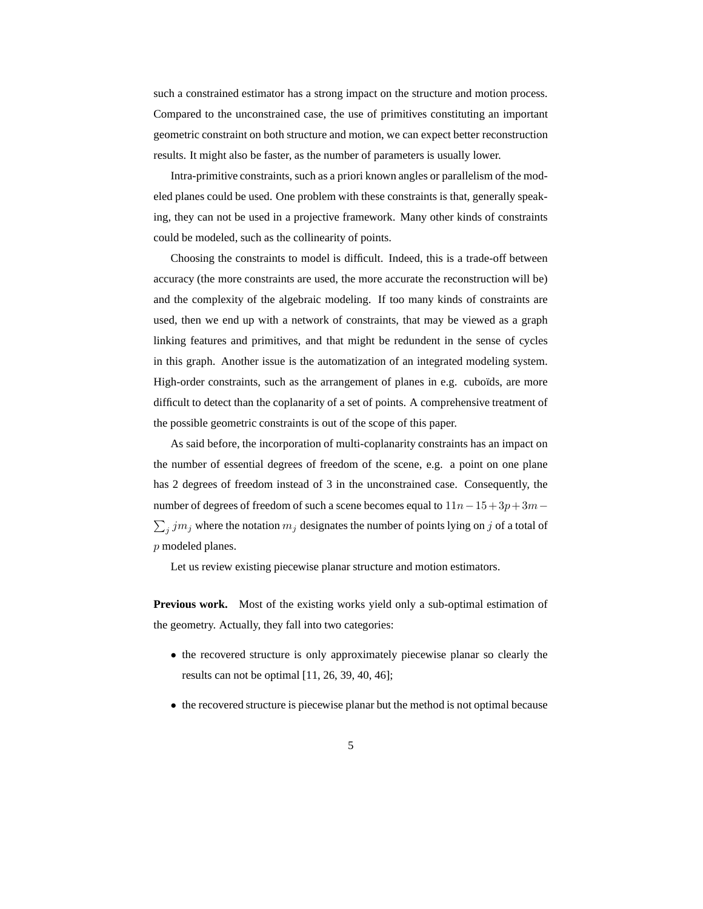such a constrained estimator has a strong impact on the structure and motion process. Compared to the unconstrained case, the use of primitives constituting an important geometric constraint on both structure and motion, we can expect better reconstruction results. It might also be faster, as the number of parameters is usually lower.

Intra-primitive constraints, such as a priori known angles or parallelism of the modeled planes could be used. One problem with these constraints is that, generally speaking, they can not be used in a projective framework. Many other kinds of constraints could be modeled, such as the collinearity of points.

Choosing the constraints to model is difficult. Indeed, this is a trade-off between accuracy (the more constraints are used, the more accurate the reconstruction will be) and the complexity of the algebraic modeling. If too many kinds of constraints are used, then we end up with a network of constraints, that may be viewed as a graph linking features and primitives, and that might be redundent in the sense of cycles in this graph. Another issue is the automatization of an integrated modeling system. High-order constraints, such as the arrangement of planes in e.g. cuboïds, are more difficult to detect than the coplanarity of a set of points. A comprehensive treatment of the possible geometric constraints is out of the scope of this paper.

As said before, the incorporation of multi-coplanarity constraints has an impact on the number of essential degrees of freedom of the scene, e.g. a point on one plane has 2 degrees of freedom instead of 3 in the unconstrained case. Consequently, the number of degrees of freedom of such a scene becomes equal to  $11n-15+3p+3m \sum_j jm_j$  where the notation  $m_j$  designates the number of points lying on j of a total of p modeled planes.

Let us review existing piecewise planar structure and motion estimators.

**Previous work.** Most of the existing works yield only a sub-optimal estimation of the geometry. Actually, they fall into two categories:

- the recovered structure is only approximately piecewise planar so clearly the results can not be optimal [11, 26, 39, 40, 46];
- the recovered structure is piecewise planar but the method is not optimal because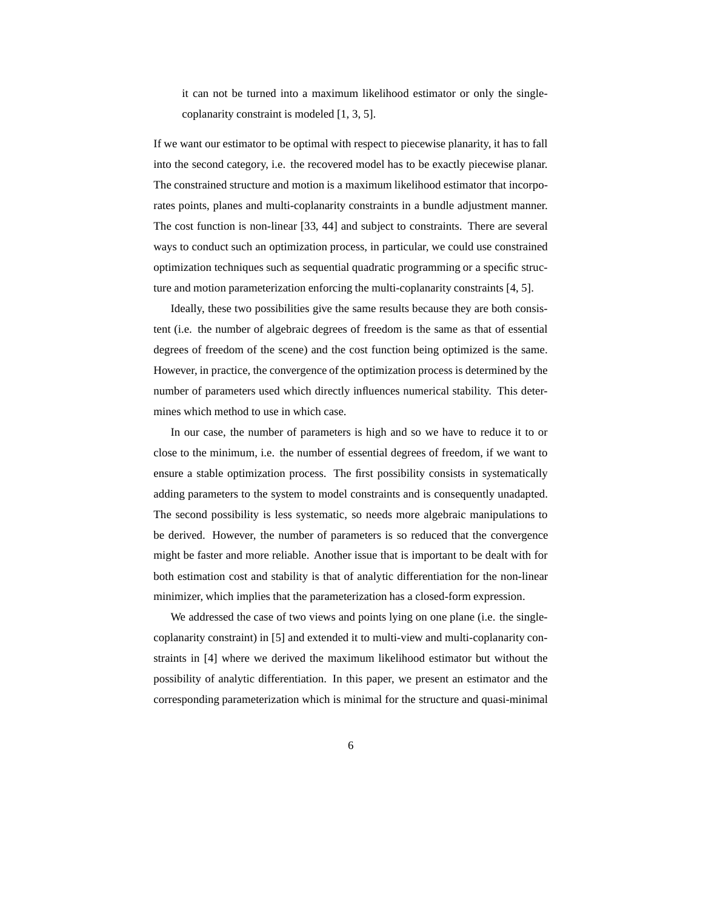it can not be turned into a maximum likelihood estimator or only the singlecoplanarity constraint is modeled [1, 3, 5].

If we want our estimator to be optimal with respect to piecewise planarity, it has to fall into the second category, i.e. the recovered model has to be exactly piecewise planar. The constrained structure and motion is a maximum likelihood estimator that incorporates points, planes and multi-coplanarity constraints in a bundle adjustment manner. The cost function is non-linear [33, 44] and subject to constraints. There are several ways to conduct such an optimization process, in particular, we could use constrained optimization techniques such as sequential quadratic programming or a specific structure and motion parameterization enforcing the multi-coplanarity constraints [4, 5].

Ideally, these two possibilities give the same results because they are both consistent (i.e. the number of algebraic degrees of freedom is the same as that of essential degrees of freedom of the scene) and the cost function being optimized is the same. However, in practice, the convergence of the optimization process is determined by the number of parameters used which directly influences numerical stability. This determines which method to use in which case.

In our case, the number of parameters is high and so we have to reduce it to or close to the minimum, i.e. the number of essential degrees of freedom, if we want to ensure a stable optimization process. The first possibility consists in systematically adding parameters to the system to model constraints and is consequently unadapted. The second possibility is less systematic, so needs more algebraic manipulations to be derived. However, the number of parameters is so reduced that the convergence might be faster and more reliable. Another issue that is important to be dealt with for both estimation cost and stability is that of analytic differentiation for the non-linear minimizer, which implies that the parameterization has a closed-form expression.

We addressed the case of two views and points lying on one plane (i.e. the singlecoplanarity constraint) in [5] and extended it to multi-view and multi-coplanarity constraints in [4] where we derived the maximum likelihood estimator but without the possibility of analytic differentiation. In this paper, we present an estimator and the corresponding parameterization which is minimal for the structure and quasi-minimal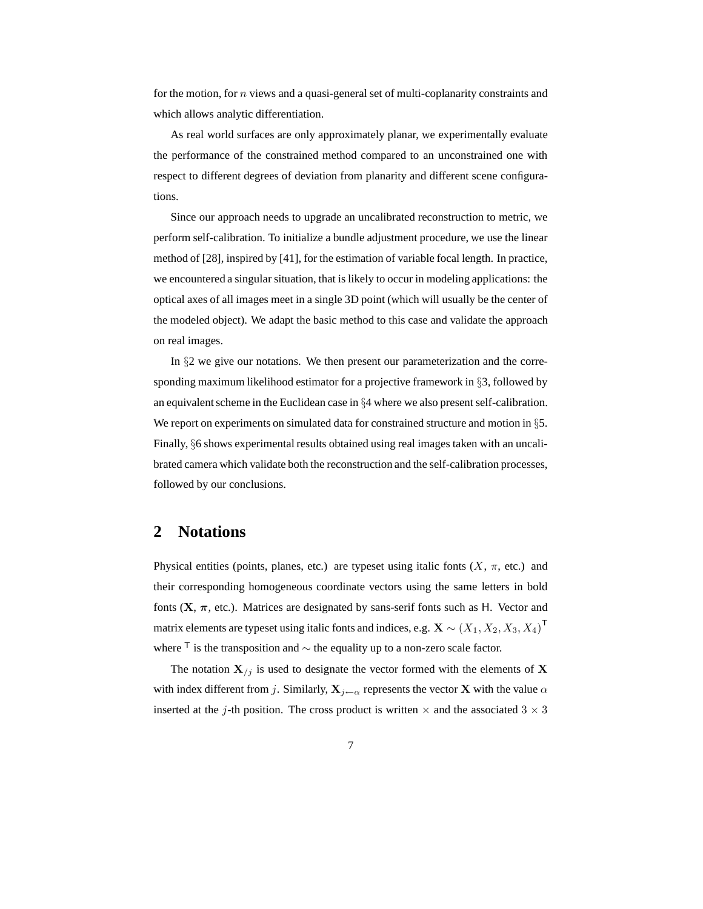for the motion, for  $n$  views and a quasi-general set of multi-coplanarity constraints and which allows analytic differentiation.

As real world surfaces are only approximately planar, we experimentally evaluate the performance of the constrained method compared to an unconstrained one with respect to different degrees of deviation from planarity and different scene configurations.

Since our approach needs to upgrade an uncalibrated reconstruction to metric, we perform self-calibration. To initialize a bundle adjustment procedure, we use the linear method of [28], inspired by [41], for the estimation of variable focal length. In practice, we encountered a singular situation, that is likely to occur in modeling applications: the optical axes of all images meet in a single 3D point (which will usually be the center of the modeled object). We adapt the basic method to this case and validate the approach on real images.

In §2 we give our notations. We then present our parameterization and the corresponding maximum likelihood estimator for a projective framework in §3, followed by an equivalent scheme in the Euclidean case in  $§4$  where we also present self-calibration. We report on experiments on simulated data for constrained structure and motion in §5. Finally, §6 shows experimental results obtained using real images taken with an uncalibrated camera which validate both the reconstruction and the self-calibration processes, followed by our conclusions.

### **2 Notations**

Physical entities (points, planes, etc.) are typeset using italic fonts  $(X, \pi, \text{ etc.})$  and their corresponding homogeneous coordinate vectors using the same letters in bold fonts  $(X, \pi, etc.)$ . Matrices are designated by sans-serif fonts such as H. Vector and matrix elements are typeset using italic fonts and indices, e.g.  $\mathbf{X} \sim (X_1, X_2, X_3, X_4)^{\mathsf{T}}$ where  $\text{ }^{\mathsf{T}}$  is the transposition and  $\sim$  the equality up to a non-zero scale factor.

The notation  $X_{i,j}$  is used to designate the vector formed with the elements of X with index different from j. Similarly,  $X_{i \leftarrow \alpha}$  represents the vector X with the value  $\alpha$ inserted at the j-th position. The cross product is written  $\times$  and the associated  $3 \times 3$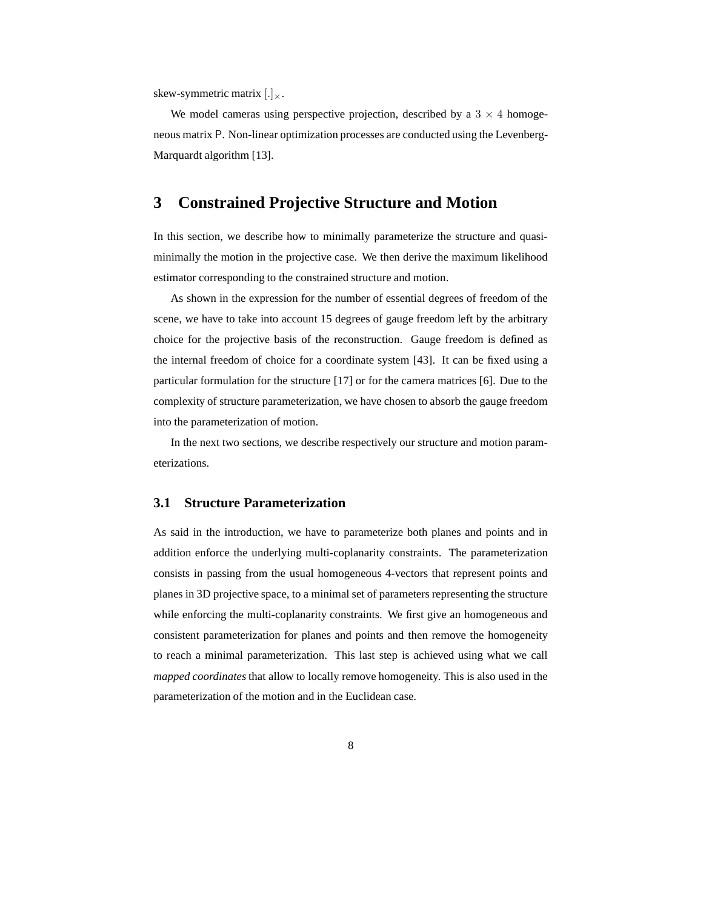skew-symmetric matrix  $\left[\cdot\right]_{\times}$ .

We model cameras using perspective projection, described by a  $3 \times 4$  homogeneous matrix P. Non-linear optimization processes are conducted using the Levenberg-Marquardt algorithm [13].

# **3 Constrained Projective Structure and Motion**

In this section, we describe how to minimally parameterize the structure and quasiminimally the motion in the projective case. We then derive the maximum likelihood estimator corresponding to the constrained structure and motion.

As shown in the expression for the number of essential degrees of freedom of the scene, we have to take into account 15 degrees of gauge freedom left by the arbitrary choice for the projective basis of the reconstruction. Gauge freedom is defined as the internal freedom of choice for a coordinate system [43]. It can be fixed using a particular formulation for the structure [17] or for the camera matrices [6]. Due to the complexity of structure parameterization, we have chosen to absorb the gauge freedom into the parameterization of motion.

In the next two sections, we describe respectively our structure and motion parameterizations.

#### **3.1 Structure Parameterization**

As said in the introduction, we have to parameterize both planes and points and in addition enforce the underlying multi-coplanarity constraints. The parameterization consists in passing from the usual homogeneous 4-vectors that represent points and planes in 3D projective space, to a minimal set of parameters representing the structure while enforcing the multi-coplanarity constraints. We first give an homogeneous and consistent parameterization for planes and points and then remove the homogeneity to reach a minimal parameterization. This last step is achieved using what we call *mapped coordinates* that allow to locally remove homogeneity. This is also used in the parameterization of the motion and in the Euclidean case.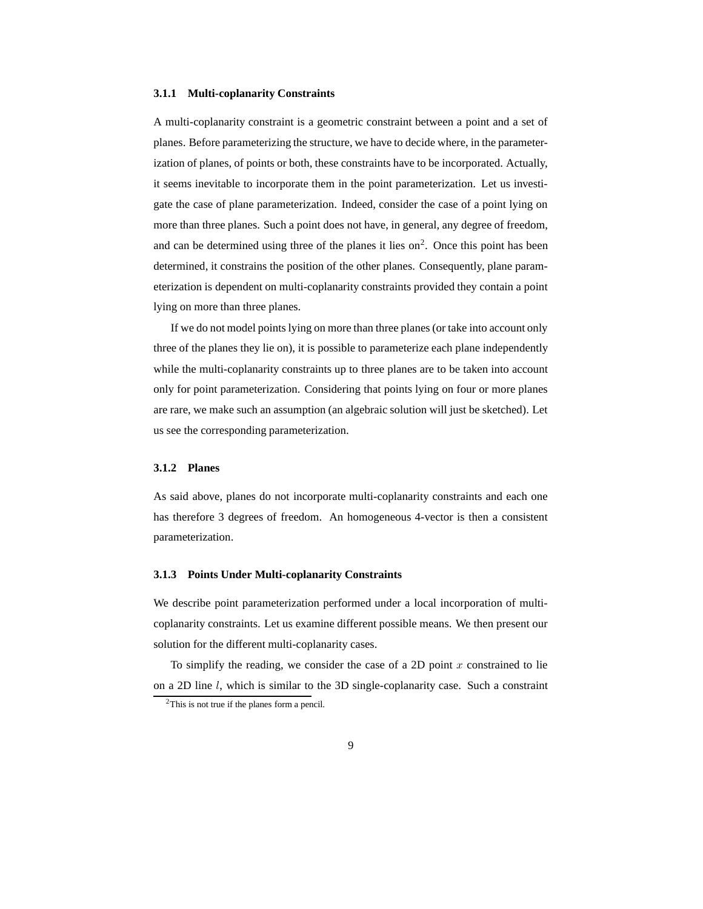#### **3.1.1 Multi-coplanarity Constraints**

A multi-coplanarity constraint is a geometric constraint between a point and a set of planes. Before parameterizing the structure, we have to decide where, in the parameterization of planes, of points or both, these constraints have to be incorporated. Actually, it seems inevitable to incorporate them in the point parameterization. Let us investigate the case of plane parameterization. Indeed, consider the case of a point lying on more than three planes. Such a point does not have, in general, any degree of freedom, and can be determined using three of the planes it lies on<sup>2</sup>. Once this point has been determined, it constrains the position of the other planes. Consequently, plane parameterization is dependent on multi-coplanarity constraints provided they contain a point lying on more than three planes.

If we do not model points lying on more than three planes (or take into account only three of the planes they lie on), it is possible to parameterize each plane independently while the multi-coplanarity constraints up to three planes are to be taken into account only for point parameterization. Considering that points lying on four or more planes are rare, we make such an assumption (an algebraic solution will just be sketched). Let us see the corresponding parameterization.

#### **3.1.2 Planes**

As said above, planes do not incorporate multi-coplanarity constraints and each one has therefore 3 degrees of freedom. An homogeneous 4-vector is then a consistent parameterization.

#### **3.1.3 Points Under Multi-coplanarity Constraints**

We describe point parameterization performed under a local incorporation of multicoplanarity constraints. Let us examine different possible means. We then present our solution for the different multi-coplanarity cases.

To simplify the reading, we consider the case of a 2D point  $x$  constrained to lie on a 2D line l, which is similar to the 3D single-coplanarity case. Such a constraint

<sup>2</sup>This is not true if the planes form a pencil.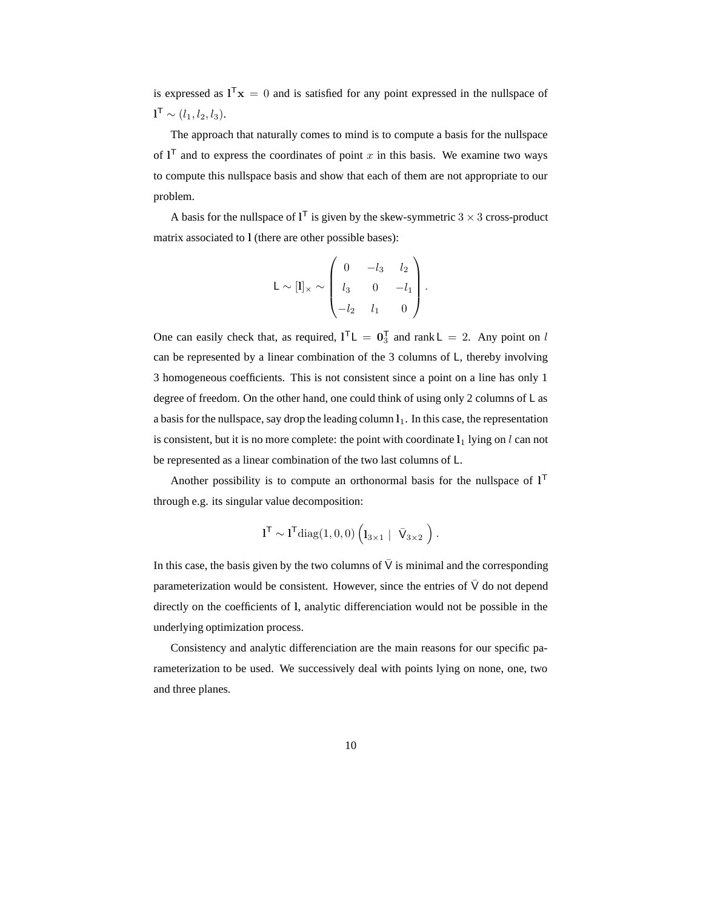is expressed as  $I^T x = 0$  and is satisfied for any point expressed in the nullspace of  $\mathbf{l}^{\mathsf{T}} \sim (l_1, l_2, l_3).$ 

The approach that naturally comes to mind is to compute a basis for the nullspace of  $I<sup>T</sup>$  and to express the coordinates of point x in this basis. We examine two ways to compute this nullspace basis and show that each of them are not appropriate to our problem.

A basis for the nullspace of  $1^{\mathsf{T}}$  is given by the skew-symmetric  $3 \times 3$  cross-product matrix associated to l (there are other possible bases):

$$
L \sim [l]_{\times} \sim \begin{pmatrix} 0 & -l_3 & l_2 \\ l_3 & 0 & -l_1 \\ -l_2 & l_1 & 0 \end{pmatrix}.
$$

One can easily check that, as required,  $I^TL = 0_3^T$  and rank  $L = 2$ . Any point on l can be represented by a linear combination of the 3 columns of L, thereby involving 3 homogeneous coefficients. This is not consistent since a point on a line has only 1 degree of freedom. On the other hand, one could think of using only 2 columns of L as a basis for the nullspace, say drop the leading column  $l_1$ . In this case, the representation is consistent, but it is no more complete: the point with coordinate  $l_1$  lying on l can not be represented as a linear combination of the two last columns of L.

Another possibility is to compute an orthonormal basis for the nullspace of  $1<sup>T</sup>$ through e.g. its singular value decomposition:

$$
\mathbf{l}^{\mathsf{T}} \sim \mathbf{l}^{\mathsf{T}} \mathrm{diag}(1,0,0) \left( \mathbf{l}_{3 \times 1} \ | \ \bar{V}_{3 \times 2} \ \right).
$$

In this case, the basis given by the two columns of  $\overline{V}$  is minimal and the corresponding parameterization would be consistent. However, since the entries of  $\bar{V}$  do not depend directly on the coefficients of l, analytic differenciation would not be possible in the underlying optimization process.

Consistency and analytic differenciation are the main reasons for our specific parameterization to be used. We successively deal with points lying on none, one, two and three planes.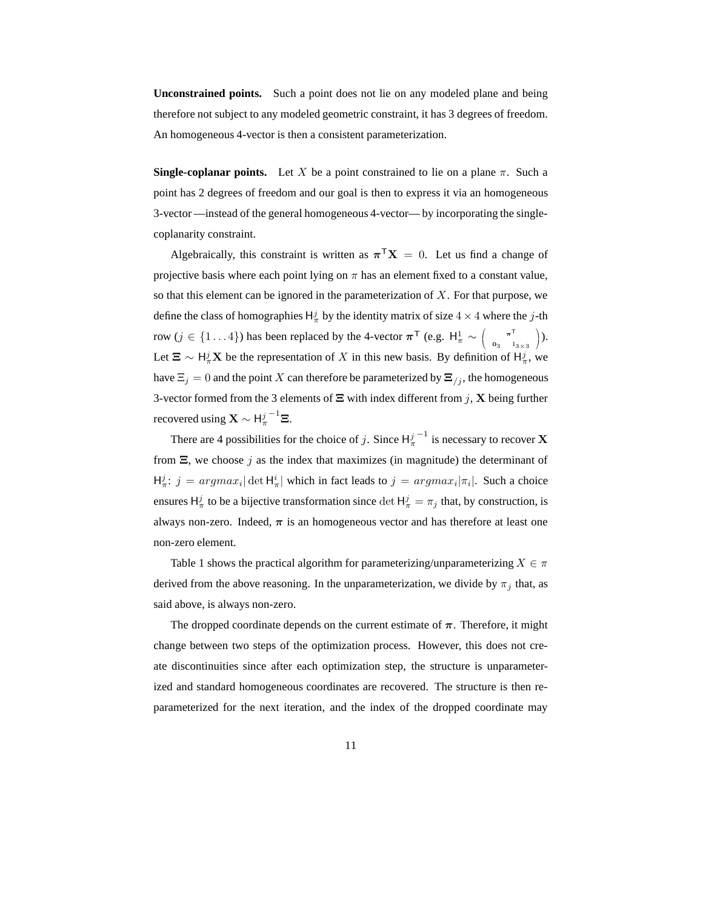**Unconstrained points.** Such a point does not lie on any modeled plane and being therefore not subject to any modeled geometric constraint, it has 3 degrees of freedom. An homogeneous 4-vector is then a consistent parameterization.

**Single-coplanar points.** Let X be a point constrained to lie on a plane  $\pi$ . Such a point has 2 degrees of freedom and our goal is then to express it via an homogeneous 3-vector —instead of the general homogeneous 4-vector— by incorporating the singlecoplanarity constraint.

Algebraically, this constraint is written as  $\pi^{\top}X = 0$ . Let us find a change of projective basis where each point lying on  $\pi$  has an element fixed to a constant value, so that this element can be ignored in the parameterization of  $X$ . For that purpose, we define the class of homographies  $H^j_\pi$  by the identity matrix of size  $4 \times 4$  where the j-th row ( $j \in \{1...4\}$ ) has been replaced by the 4-vector  $\boldsymbol{\pi}^{\mathsf{T}}$  (e.g.  $\boldsymbol{\mathsf{H}}_{\pi}^1 \sim \left( \begin{array}{c} 1 & 0 \\ 0 & 1 \end{array} \right)$  $\begin{pmatrix} \pi^T \\ 0 \end{pmatrix}$  $0_3$   $I_{3\times 3}$  ). Let  $\Xi \sim H_{\pi}^{j} \mathbf{X}$  be the representation of X in this new basis. By definition of  $H_{\pi}^{j}$ , we have  $\Xi_i = 0$  and the point X can therefore be parameterized by  $\Xi_{i,j}$ , the homogeneous 3-vector formed from the 3 elements of  $\Xi$  with index different from j, **X** being further recovered using  $\mathbf{X} \sim \mathsf{H}^j_\pi$  $^{-1}$  $\Xi$ .

There are 4 possibilities for the choice of j. Since  $H^j_\pi$  $^{-1}$  is necessary to recover **X** from  $\Xi$ , we choose j as the index that maximizes (in magnitude) the determinant of  $H_{\pi}^{j}$ :  $j = argmax_{i} |\det H_{\pi}^{i}|$  which in fact leads to  $j = argmax_{i} |\pi_{i}|$ . Such a choice ensures  $H^j_\pi$  to be a bijective transformation since  $\det H^j_\pi = \pi_j$  that, by construction, is always non-zero. Indeed,  $\pi$  is an homogeneous vector and has therefore at least one non-zero element.

Table 1 shows the practical algorithm for parameterizing/unparameterizing  $X \in \pi$ derived from the above reasoning. In the unparameterization, we divide by  $\pi_j$  that, as said above, is always non-zero.

The dropped coordinate depends on the current estimate of  $\pi$ . Therefore, it might change between two steps of the optimization process. However, this does not create discontinuities since after each optimization step, the structure is unparameterized and standard homogeneous coordinates are recovered. The structure is then reparameterized for the next iteration, and the index of the dropped coordinate may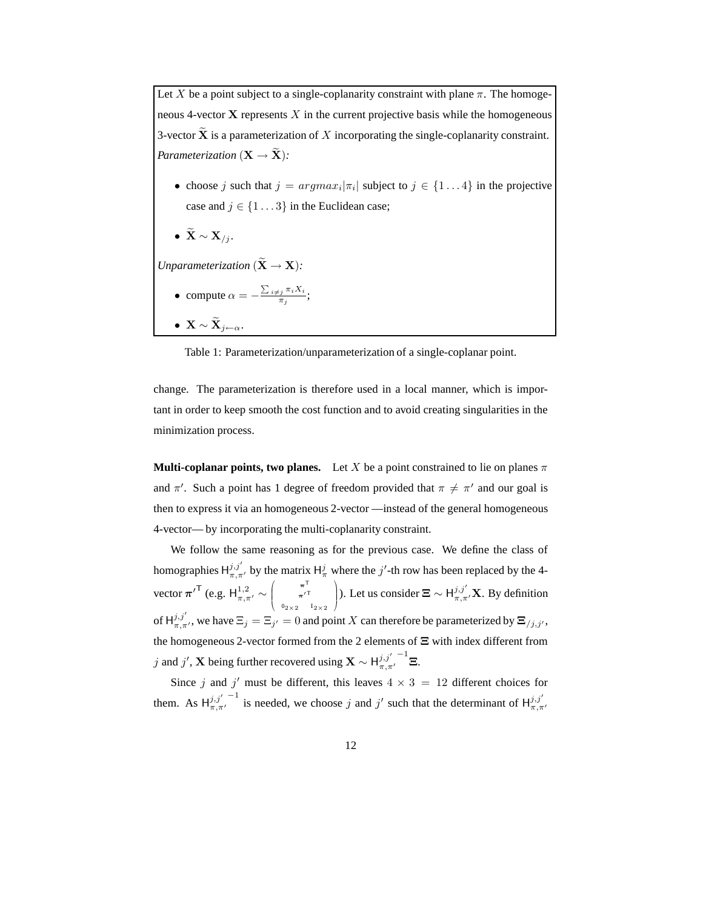Let X be a point subject to a single-coplanarity constraint with plane  $\pi$ . The homogeneous 4-vector  $X$  represents X in the current projective basis while the homogeneous 3-vector  $\widetilde{\mathbf{X}}$  is a parameterization of X incorporating the single-coplanarity constraint. *Parameterization* ( $X \rightarrow \tilde{X}$ ):

- choose j such that  $j = argmax_i |\pi_i|$  subject to  $j \in \{1...4\}$  in the projective case and  $j \in \{1 \dots 3\}$  in the Euclidean case;
- $\widetilde{\mathbf{X}} \sim \mathbf{X}_{/j}$ .

*Unparameterization*  $(\widetilde{\mathbf{X}} \to \mathbf{X})$ *:* 

- compute  $\alpha = -\frac{\sum_{i \neq j} \pi_i X_i}{\pi_j}$  $\frac{j^{\mu_i \Lambda_i}}{\pi_j};$
- $\widetilde{\mathbf{X}} \sim \widetilde{\mathbf{X}}_{j\leftarrow \alpha}$ .

Table 1: Parameterization/unparameterization of a single-coplanar point.

change. The parameterization is therefore used in a local manner, which is important in order to keep smooth the cost function and to avoid creating singularities in the minimization process.

**Multi-coplanar points, two planes.** Let X be a point constrained to lie on planes  $\pi$ and  $\pi'$ . Such a point has 1 degree of freedom provided that  $\pi \neq \pi'$  and our goal is then to express it via an homogeneous 2-vector —instead of the general homogeneous 4-vector— by incorporating the multi-coplanarity constraint.

We follow the same reasoning as for the previous case. We define the class of homographies  $H_{\pi,\pi'}^{j,j'}$  by the matrix  $H_{\pi}^{j}$  where the  $j'$ -th row has been replaced by the 4vector  $\pi^{\prime^{\mathsf{T}}}$  (e.g.  $H_{\pi,\pi^{\prime}}^{1,2} \sim$  $\sqrt{ }$  $\overline{\phantom{a}}$  $\pi^{\mathsf{T}}$  $\pi^{\prime T}$  $0_{2\times 2}$   $I_{2\times 2}$  $\sqrt{ }$ ). Let us consider  $\boldsymbol{\Xi} \sim H_{\pi,\pi'}^{j,j'}\mathbf{X}$ . By definition of  $H_{\pi,\pi'}^{j,j'}$ , we have  $\Xi_j = \Xi_{j'} = 0$  and point X can therefore be parameterized by  $\Xi_{j,j'}$ , the homogeneous 2-vector formed from the 2 elements of Ξ with index different from j and j', X being further recovered using X  $\sim$  H $_{\pi,\pi'}^{j,j'}$  $^{-1}$ Ξ.

Since j and j' must be different, this leaves  $4 \times 3 = 12$  different choices for them. As  $H_{\pi,\pi}^{j,j'}$ <sup>-1</sup> is needed, we choose j and j' such that the determinant of  $H_{\pi,\pi'}^{j,j'}$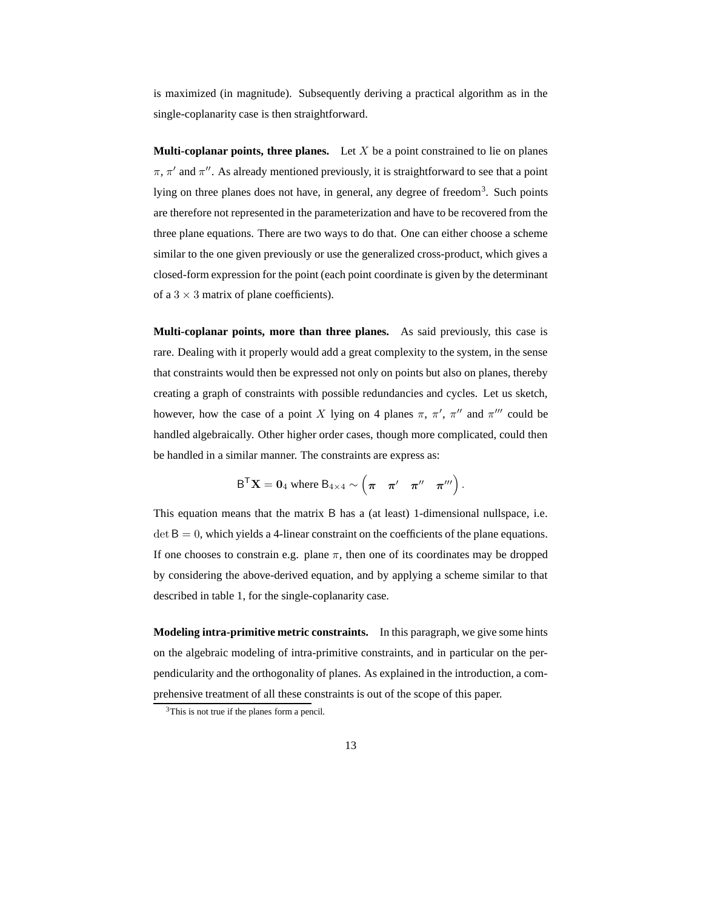is maximized (in magnitude). Subsequently deriving a practical algorithm as in the single-coplanarity case is then straightforward.

**Multi-coplanar points, three planes.** Let  $X$  be a point constrained to lie on planes  $\pi$ ,  $\pi'$  and  $\pi''$ . As already mentioned previously, it is straightforward to see that a point lying on three planes does not have, in general, any degree of freedom<sup>3</sup>. Such points are therefore not represented in the parameterization and have to be recovered from the three plane equations. There are two ways to do that. One can either choose a scheme similar to the one given previously or use the generalized cross-product, which gives a closed-form expression for the point (each point coordinate is given by the determinant of a  $3 \times 3$  matrix of plane coefficients).

**Multi-coplanar points, more than three planes.** As said previously, this case is rare. Dealing with it properly would add a great complexity to the system, in the sense that constraints would then be expressed not only on points but also on planes, thereby creating a graph of constraints with possible redundancies and cycles. Let us sketch, however, how the case of a point X lying on 4 planes  $\pi$ ,  $\pi'$ ,  $\pi''$  and  $\pi'''$  could be handled algebraically. Other higher order cases, though more complicated, could then be handled in a similar manner. The constraints are express as:

$$
\mathsf{B}^\mathsf{T}\mathbf{X} = \mathbf{0}_4 \text{ where } \mathsf{B}_{4\times 4} \sim \begin{pmatrix} \pi & \pi' & \pi'' & \pi''' \end{pmatrix}.
$$

This equation means that the matrix B has a (at least) 1-dimensional nullspace, i.e.  $\det B = 0$ , which yields a 4-linear constraint on the coefficients of the plane equations. If one chooses to constrain e.g. plane  $\pi$ , then one of its coordinates may be dropped by considering the above-derived equation, and by applying a scheme similar to that described in table 1, for the single-coplanarity case.

**Modeling intra-primitive metric constraints.** In this paragraph, we give some hints on the algebraic modeling of intra-primitive constraints, and in particular on the perpendicularity and the orthogonality of planes. As explained in the introduction, a comprehensive treatment of all these constraints is out of the scope of this paper.

<sup>&</sup>lt;sup>3</sup>This is not true if the planes form a pencil.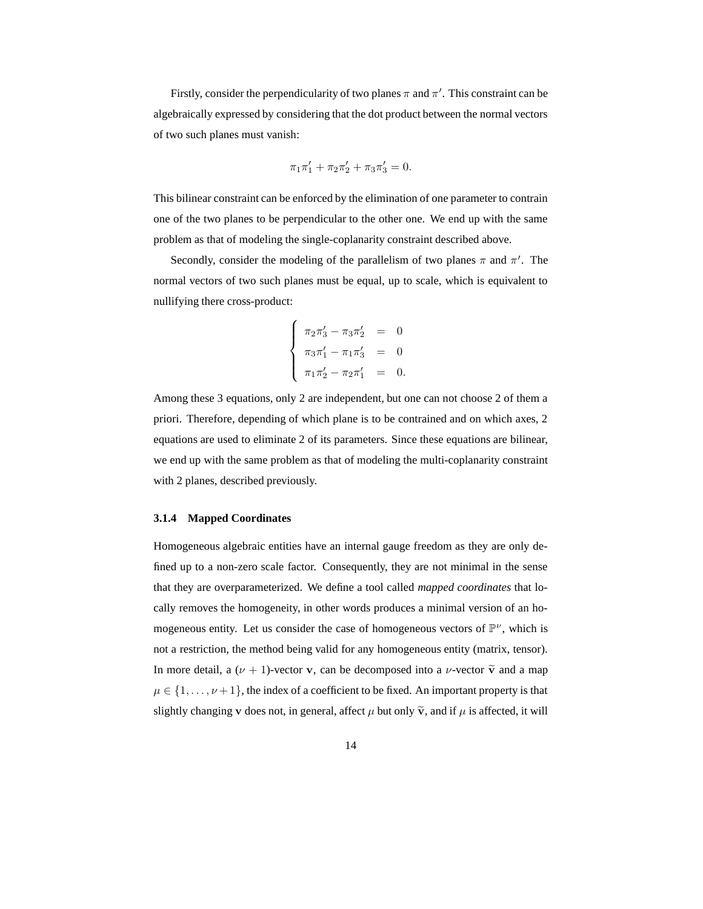Firstly, consider the perpendicularity of two planes  $\pi$  and  $\pi'$ . This constraint can be algebraically expressed by considering that the dot product between the normal vectors of two such planes must vanish:

$$
\pi_1 \pi_1' + \pi_2 \pi_2' + \pi_3 \pi_3' = 0.
$$

This bilinear constraint can be enforced by the elimination of one parameter to contrain one of the two planes to be perpendicular to the other one. We end up with the same problem as that of modeling the single-coplanarity constraint described above.

Secondly, consider the modeling of the parallelism of two planes  $\pi$  and  $\pi'$ . The normal vectors of two such planes must be equal, up to scale, which is equivalent to nullifying there cross-product:

$$
\begin{cases}\n\pi_2 \pi_3' - \pi_3 \pi_2' &= 0 \\
\pi_3 \pi_1' - \pi_1 \pi_3' &= 0 \\
\pi_1 \pi_2' - \pi_2 \pi_1' &= 0.\n\end{cases}
$$

Among these 3 equations, only 2 are independent, but one can not choose 2 of them a priori. Therefore, depending of which plane is to be contrained and on which axes, 2 equations are used to eliminate 2 of its parameters. Since these equations are bilinear, we end up with the same problem as that of modeling the multi-coplanarity constraint with 2 planes, described previously.

#### **3.1.4 Mapped Coordinates**

Homogeneous algebraic entities have an internal gauge freedom as they are only defined up to a non-zero scale factor. Consequently, they are not minimal in the sense that they are overparameterized. We define a tool called *mapped coordinates* that locally removes the homogeneity, in other words produces a minimal version of an homogeneous entity. Let us consider the case of homogeneous vectors of  $\mathbb{P}^{\nu}$ , which is not a restriction, the method being valid for any homogeneous entity (matrix, tensor). In more detail, a  $(\nu + 1)$ -vector v, can be decomposed into a  $\nu$ -vector  $\tilde{v}$  and a map  $\mu \in \{1, \ldots, \nu + 1\}$ , the index of a coefficient to be fixed. An important property is that slightly changing v does not, in general, affect  $\mu$  but only  $\tilde{v}$ , and if  $\mu$  is affected, it will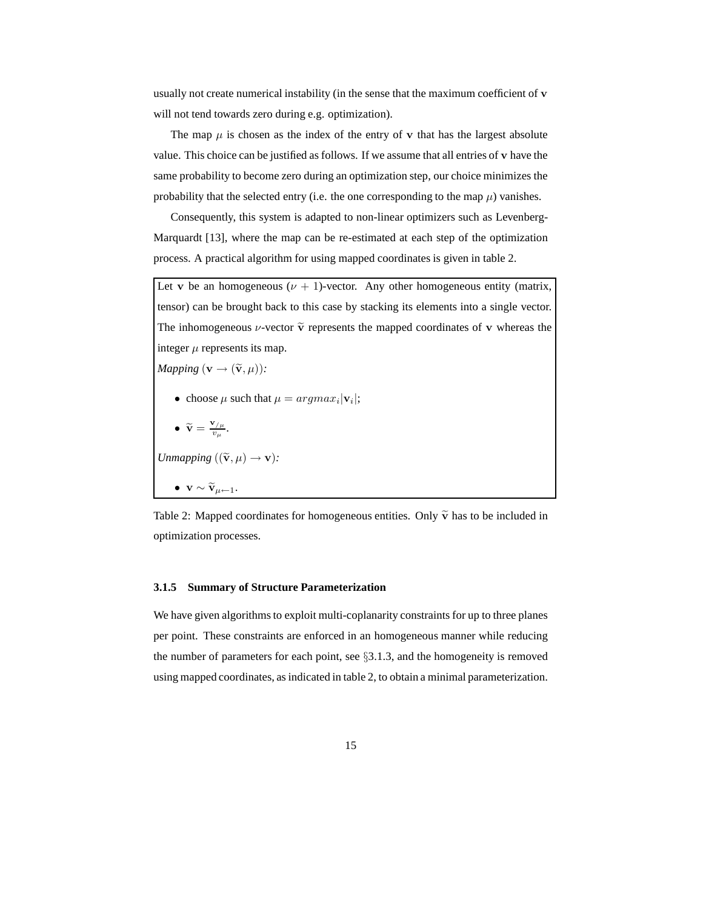usually not create numerical instability (in the sense that the maximum coefficient of v will not tend towards zero during e.g. optimization).

The map  $\mu$  is chosen as the index of the entry of v that has the largest absolute value. This choice can be justified as follows. If we assume that all entries of v have the same probability to become zero during an optimization step, our choice minimizes the probability that the selected entry (i.e. the one corresponding to the map  $\mu$ ) vanishes.

Consequently, this system is adapted to non-linear optimizers such as Levenberg-Marquardt [13], where the map can be re-estimated at each step of the optimization process. A practical algorithm for using mapped coordinates is given in table 2.

Let v be an homogeneous ( $\nu + 1$ )-vector. Any other homogeneous entity (matrix, tensor) can be brought back to this case by stacking its elements into a single vector. The inhomogeneous  $\nu$ -vector  $\tilde{\mathbf{v}}$  represents the mapped coordinates of v whereas the integer  $\mu$  represents its map.

*Mapping* ( $\mathbf{v} \rightarrow (\tilde{\mathbf{v}}, \mu)$ ):

• choose  $\mu$  such that  $\mu = argmax_i |\mathbf{v}_i|$ ;

\n- $$
\widetilde{\mathbf{v}} = \frac{\mathbf{v}_{/\mu}}{v_{\mu}}
$$
.
\n- Unmapping  $((\widetilde{\mathbf{v}}, \mu) \rightarrow \mathbf{v})$ :
\n- $\mathbf{v} \sim \widetilde{\mathbf{v}}_{\mu \leftarrow 1}$ .
\n

Table 2: Mapped coordinates for homogeneous entities. Only  $\tilde{v}$  has to be included in optimization processes.

#### **3.1.5 Summary of Structure Parameterization**

We have given algorithms to exploit multi-coplanarity constraints for up to three planes per point. These constraints are enforced in an homogeneous manner while reducing the number of parameters for each point, see §3.1.3, and the homogeneity is removed using mapped coordinates, as indicated in table 2, to obtain a minimal parameterization.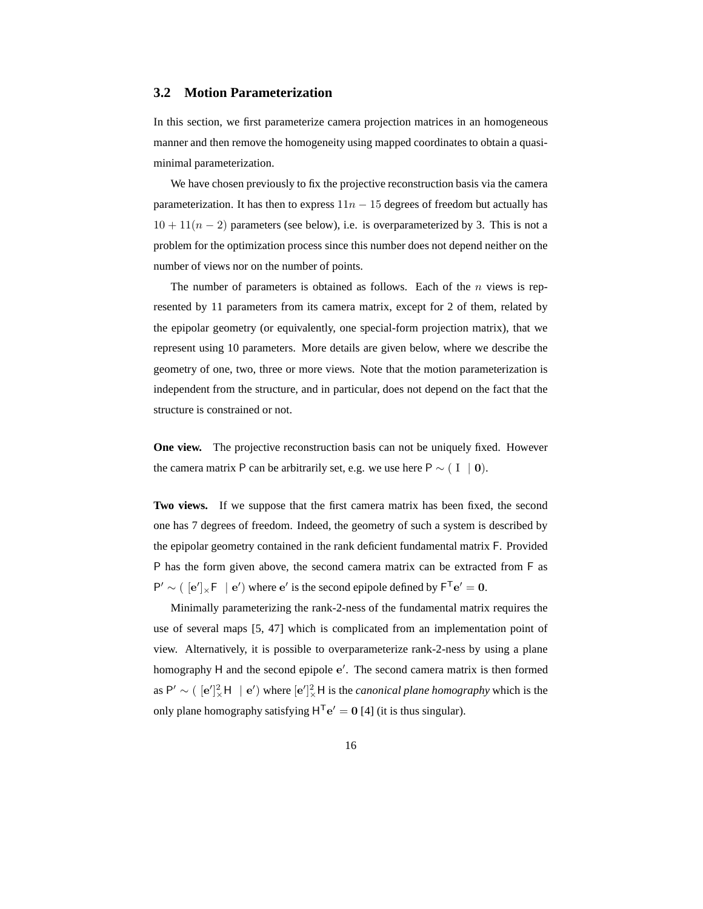#### **3.2 Motion Parameterization**

In this section, we first parameterize camera projection matrices in an homogeneous manner and then remove the homogeneity using mapped coordinates to obtain a quasiminimal parameterization.

We have chosen previously to fix the projective reconstruction basis via the camera parameterization. It has then to express  $11n - 15$  degrees of freedom but actually has  $10 + 11(n - 2)$  parameters (see below), i.e. is overparameterized by 3. This is not a problem for the optimization process since this number does not depend neither on the number of views nor on the number of points.

The number of parameters is obtained as follows. Each of the  $n$  views is represented by 11 parameters from its camera matrix, except for 2 of them, related by the epipolar geometry (or equivalently, one special-form projection matrix), that we represent using 10 parameters. More details are given below, where we describe the geometry of one, two, three or more views. Note that the motion parameterization is independent from the structure, and in particular, does not depend on the fact that the structure is constrained or not.

**One view.** The projective reconstruction basis can not be uniquely fixed. However the camera matrix P can be arbitrarily set, e.g. we use here P  $\sim$  ( I | 0).

**Two views.** If we suppose that the first camera matrix has been fixed, the second one has 7 degrees of freedom. Indeed, the geometry of such a system is described by the epipolar geometry contained in the rank deficient fundamental matrix F. Provided P has the form given above, the second camera matrix can be extracted from F as  $P' \sim ( [e']_x F | e')$  where  $e'$  is the second epipole defined by  $F^T e' = 0$ .

Minimally parameterizing the rank-2-ness of the fundamental matrix requires the use of several maps [5, 47] which is complicated from an implementation point of view. Alternatively, it is possible to overparameterize rank-2-ness by using a plane homography H and the second epipole e'. The second camera matrix is then formed as  $P' \sim (|\mathbf{e}'|_X^2 \mathbf{H} | \mathbf{e}')$  where  $|\mathbf{e}'|_X^2 \mathbf{H}$  is the *canonical plane homography* which is the only plane homography satisfying  $H^{T}e' = 0$  [4] (it is thus singular).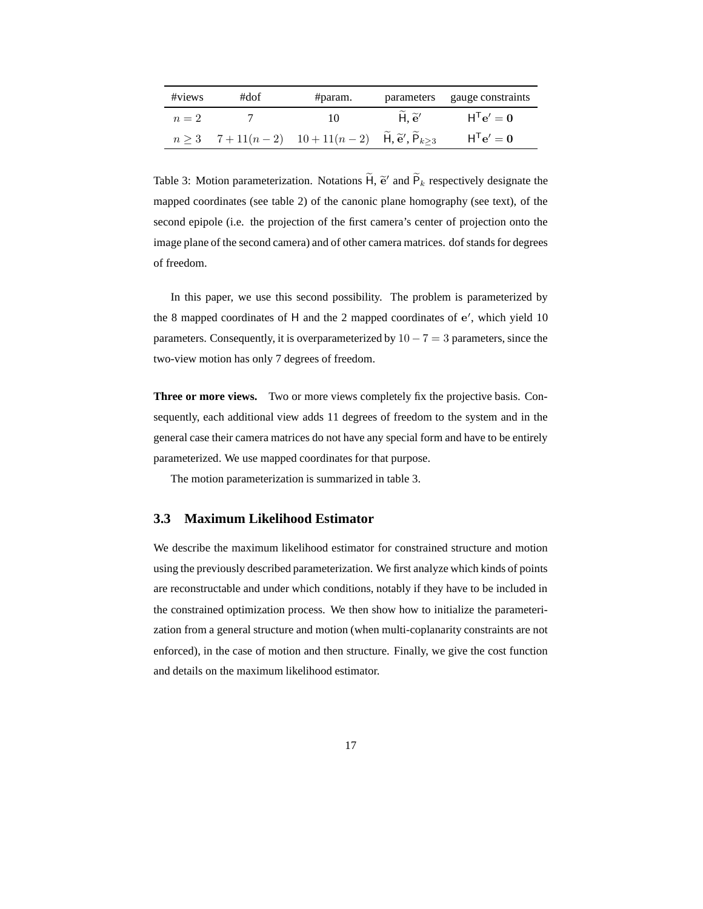| #views | #dof | #param.                                                                 |                                    | parameters gauge constraints |
|--------|------|-------------------------------------------------------------------------|------------------------------------|------------------------------|
| $n=2$  |      | 10                                                                      | $\widetilde{H}$ . $\widetilde{e}'$ | $H^{T}e' = 0$                |
|        |      | $n \ge 3$ 7+11(n-2) 10+11(n-2) $\tilde{H}, \tilde{e}', \tilde{P}_{k>3}$ |                                    | $H^{\mathsf{T}}e' = 0$       |

Table 3: Motion parameterization. Notations  $\widetilde{H}$ ,  $\widetilde{e}'$  and  $\widetilde{P}_k$  respectively designate the mapped coordinates (see table 2) of the canonic plane homography (see text), of the second epipole (i.e. the projection of the first camera's center of projection onto the image plane of the second camera) and of other camera matrices. dof stands for degrees of freedom.

In this paper, we use this second possibility. The problem is parameterized by the 8 mapped coordinates of  $H$  and the 2 mapped coordinates of  $e'$ , which yield 10 parameters. Consequently, it is overparameterized by  $10 - 7 = 3$  parameters, since the two-view motion has only 7 degrees of freedom.

**Three or more views.** Two or more views completely fix the projective basis. Consequently, each additional view adds 11 degrees of freedom to the system and in the general case their camera matrices do not have any special form and have to be entirely parameterized. We use mapped coordinates for that purpose.

The motion parameterization is summarized in table 3.

### **3.3 Maximum Likelihood Estimator**

We describe the maximum likelihood estimator for constrained structure and motion using the previously described parameterization. We first analyze which kinds of points are reconstructable and under which conditions, notably if they have to be included in the constrained optimization process. We then show how to initialize the parameterization from a general structure and motion (when multi-coplanarity constraints are not enforced), in the case of motion and then structure. Finally, we give the cost function and details on the maximum likelihood estimator.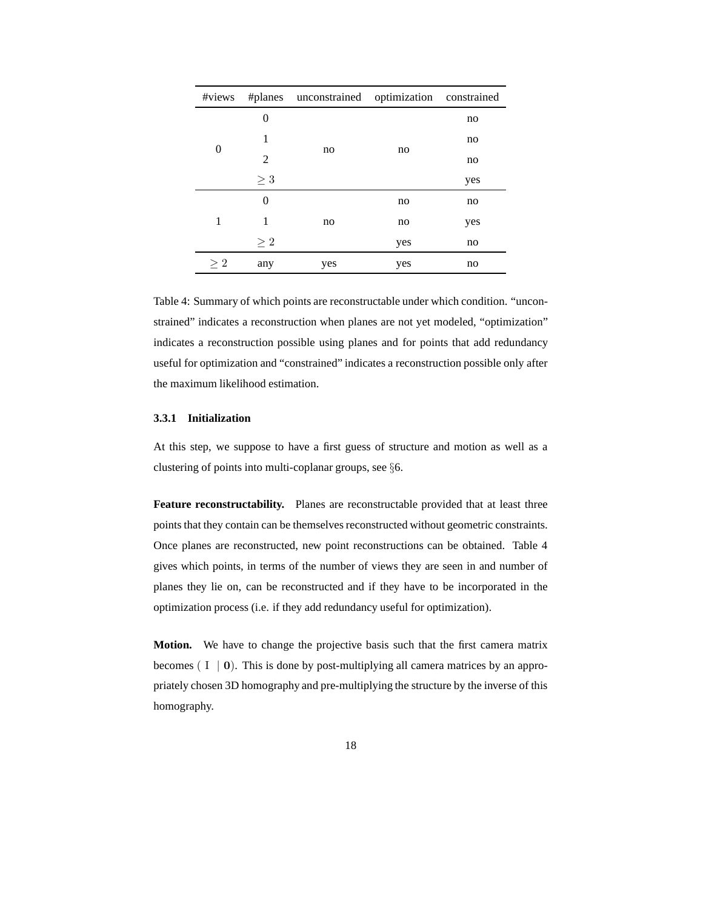|          |          | #views #planes unconstrained optimization constrained |     |     |
|----------|----------|-------------------------------------------------------|-----|-----|
|          | 0        |                                                       |     | no  |
|          | 1        |                                                       | no  | no  |
| 0        | 2        | no                                                    |     | no  |
|          | $\geq 3$ |                                                       |     | yes |
| 1        | 0        |                                                       | no  | no  |
|          | 1        | no                                                    | no  | yes |
|          | $\geq 2$ |                                                       | yes | no  |
| $\geq 2$ | any      | yes                                                   | yes | no  |

Table 4: Summary of which points are reconstructable under which condition. "unconstrained" indicates a reconstruction when planes are not yet modeled, "optimization" indicates a reconstruction possible using planes and for points that add redundancy useful for optimization and "constrained" indicates a reconstruction possible only after the maximum likelihood estimation.

#### **3.3.1 Initialization**

At this step, we suppose to have a first guess of structure and motion as well as a clustering of points into multi-coplanar groups, see §6.

**Feature reconstructability.** Planes are reconstructable provided that at least three points that they contain can be themselves reconstructed without geometric constraints. Once planes are reconstructed, new point reconstructions can be obtained. Table 4 gives which points, in terms of the number of views they are seen in and number of planes they lie on, can be reconstructed and if they have to be incorporated in the optimization process (i.e. if they add redundancy useful for optimization).

**Motion.** We have to change the projective basis such that the first camera matrix becomes  $(I | 0)$ . This is done by post-multiplying all camera matrices by an appropriately chosen 3D homography and pre-multiplying the structure by the inverse of this homography.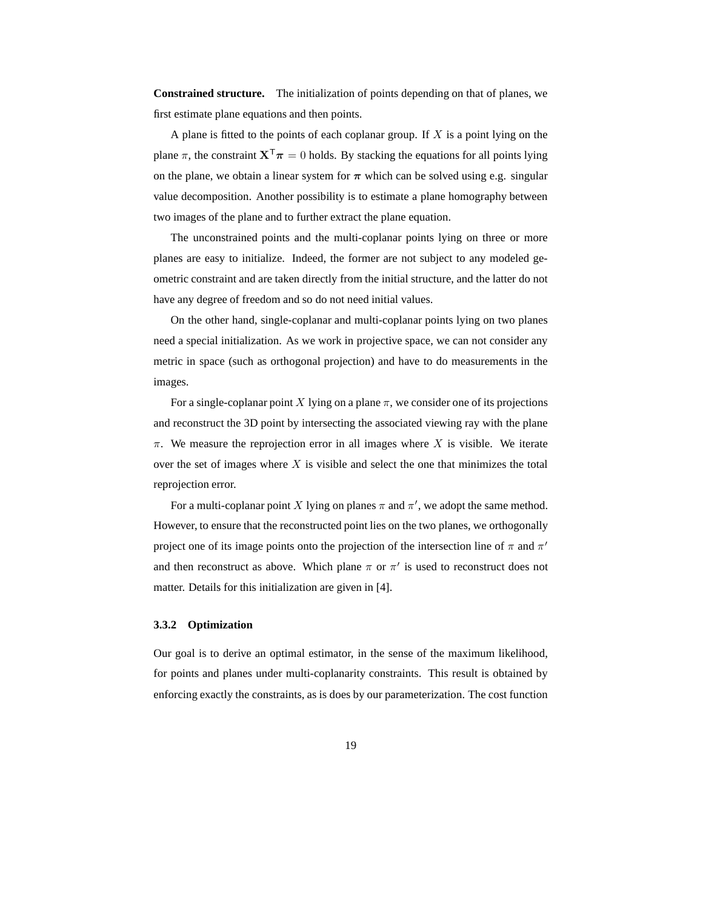**Constrained structure.** The initialization of points depending on that of planes, we first estimate plane equations and then points.

A plane is fitted to the points of each coplanar group. If  $X$  is a point lying on the plane  $\pi$ , the constraint  $X^{\mathsf{T}}\pi = 0$  holds. By stacking the equations for all points lying on the plane, we obtain a linear system for  $\pi$  which can be solved using e.g. singular value decomposition. Another possibility is to estimate a plane homography between two images of the plane and to further extract the plane equation.

The unconstrained points and the multi-coplanar points lying on three or more planes are easy to initialize. Indeed, the former are not subject to any modeled geometric constraint and are taken directly from the initial structure, and the latter do not have any degree of freedom and so do not need initial values.

On the other hand, single-coplanar and multi-coplanar points lying on two planes need a special initialization. As we work in projective space, we can not consider any metric in space (such as orthogonal projection) and have to do measurements in the images.

For a single-coplanar point X lying on a plane  $\pi$ , we consider one of its projections and reconstruct the 3D point by intersecting the associated viewing ray with the plane  $\pi$ . We measure the reprojection error in all images where X is visible. We iterate over the set of images where  $X$  is visible and select the one that minimizes the total reprojection error.

For a multi-coplanar point X lying on planes  $\pi$  and  $\pi'$ , we adopt the same method. However, to ensure that the reconstructed point lies on the two planes, we orthogonally project one of its image points onto the projection of the intersection line of  $\pi$  and  $\pi'$ and then reconstruct as above. Which plane  $\pi$  or  $\pi'$  is used to reconstruct does not matter. Details for this initialization are given in [4].

#### **3.3.2 Optimization**

Our goal is to derive an optimal estimator, in the sense of the maximum likelihood, for points and planes under multi-coplanarity constraints. This result is obtained by enforcing exactly the constraints, as is does by our parameterization. The cost function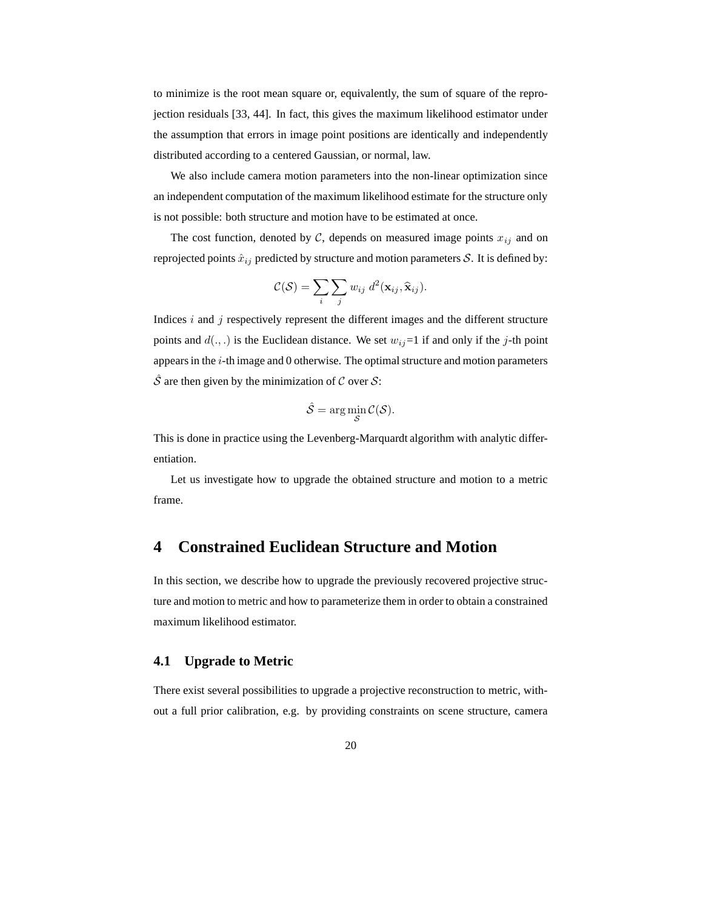to minimize is the root mean square or, equivalently, the sum of square of the reprojection residuals [33, 44]. In fact, this gives the maximum likelihood estimator under the assumption that errors in image point positions are identically and independently distributed according to a centered Gaussian, or normal, law.

We also include camera motion parameters into the non-linear optimization since an independent computation of the maximum likelihood estimate for the structure only is not possible: both structure and motion have to be estimated at once.

The cost function, denoted by  $\mathcal{C}$ , depends on measured image points  $x_{ij}$  and on reprojected points  $\hat{x}_{ij}$  predicted by structure and motion parameters S. It is defined by:

$$
C(S) = \sum_{i} \sum_{j} w_{ij} d^{2}(\mathbf{x}_{ij}, \hat{\mathbf{x}}_{ij}).
$$

Indices  $i$  and  $j$  respectively represent the different images and the different structure points and  $d(.,.)$  is the Euclidean distance. We set  $w_{ij}=1$  if and only if the j-th point appears in the  $i$ -th image and  $0$  otherwise. The optimal structure and motion parameters  $\hat{S}$  are then given by the minimization of C over S:

$$
\hat{\mathcal{S}} = \arg\min_{\mathcal{S}} \mathcal{C}(\mathcal{S}).
$$

This is done in practice using the Levenberg-Marquardt algorithm with analytic differentiation.

Let us investigate how to upgrade the obtained structure and motion to a metric frame.

### **4 Constrained Euclidean Structure and Motion**

In this section, we describe how to upgrade the previously recovered projective structure and motion to metric and how to parameterize them in order to obtain a constrained maximum likelihood estimator.

### **4.1 Upgrade to Metric**

There exist several possibilities to upgrade a projective reconstruction to metric, without a full prior calibration, e.g. by providing constraints on scene structure, camera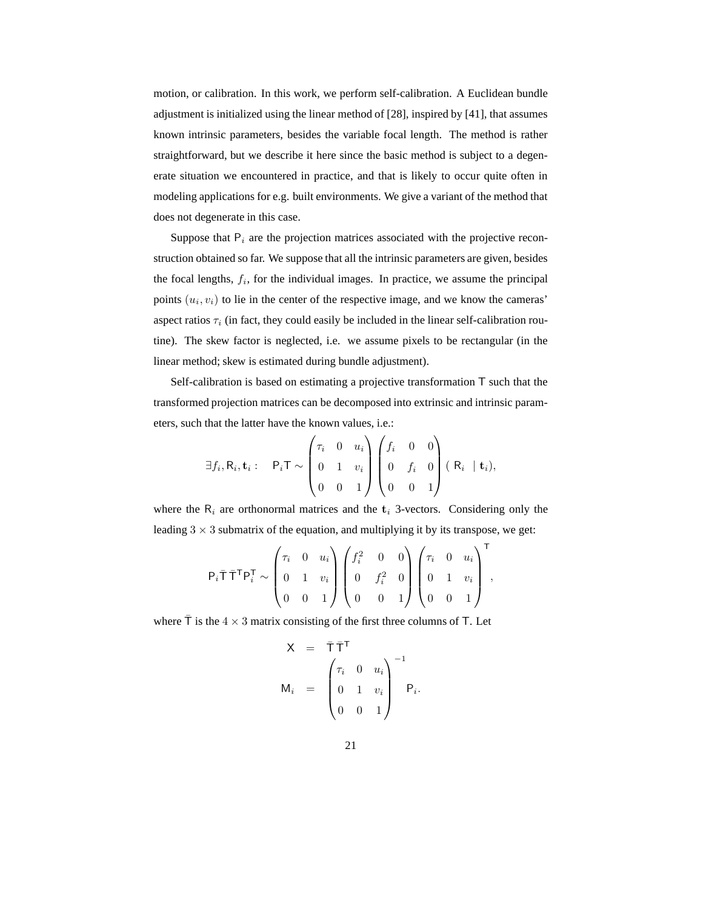motion, or calibration. In this work, we perform self-calibration. A Euclidean bundle adjustment is initialized using the linear method of [28], inspired by [41], that assumes known intrinsic parameters, besides the variable focal length. The method is rather straightforward, but we describe it here since the basic method is subject to a degenerate situation we encountered in practice, and that is likely to occur quite often in modeling applications for e.g. built environments. We give a variant of the method that does not degenerate in this case.

Suppose that  $P_i$  are the projection matrices associated with the projective reconstruction obtained so far. We suppose that all the intrinsic parameters are given, besides the focal lengths,  $f_i$ , for the individual images. In practice, we assume the principal points  $(u_i, v_i)$  to lie in the center of the respective image, and we know the cameras' aspect ratios  $\tau_i$  (in fact, they could easily be included in the linear self-calibration routine). The skew factor is neglected, i.e. we assume pixels to be rectangular (in the linear method; skew is estimated during bundle adjustment).

Self-calibration is based on estimating a projective transformation  $T$  such that the transformed projection matrices can be decomposed into extrinsic and intrinsic parameters, such that the latter have the known values, i.e.:

$$
\exists f_i, R_i, \mathbf{t}_i: \quad P_i \mathsf{T} \sim \begin{pmatrix} \tau_i & 0 & u_i \\ 0 & 1 & v_i \\ 0 & 0 & 1 \end{pmatrix} \begin{pmatrix} f_i & 0 & 0 \\ 0 & f_i & 0 \\ 0 & 0 & 1 \end{pmatrix} (R_i | \mathbf{t}_i),
$$

where the  $R_i$  are orthonormal matrices and the  $t_i$  3-vectors. Considering only the leading  $3 \times 3$  submatrix of the equation, and multiplying it by its transpose, we get:

$$
P_i \overline{T} \overline{T}^T P_i^T \sim\n\begin{pmatrix}\n\tau_i & 0 & u_i \\
0 & 1 & v_i \\
0 & 0 & 1\n\end{pmatrix}\n\begin{pmatrix}\nf_i^2 & 0 & 0 \\
0 & f_i^2 & 0 \\
0 & 0 & 1\n\end{pmatrix}\n\begin{pmatrix}\n\tau_i & 0 & u_i \\
0 & 1 & v_i \\
0 & 0 & 1\n\end{pmatrix}^T,
$$

where  $\bar{T}$  is the  $4 \times 3$  matrix consisting of the first three columns of T. Let

$$
\mathbf{X} = \overline{\mathbf{T}} \overline{\mathbf{T}}^{\mathsf{T}}
$$
\n
$$
\mathbf{M}_i = \begin{pmatrix} \tau_i & 0 & u_i \\ 0 & 1 & v_i \\ 0 & 0 & 1 \end{pmatrix}^{-1} \mathbf{P}_i.
$$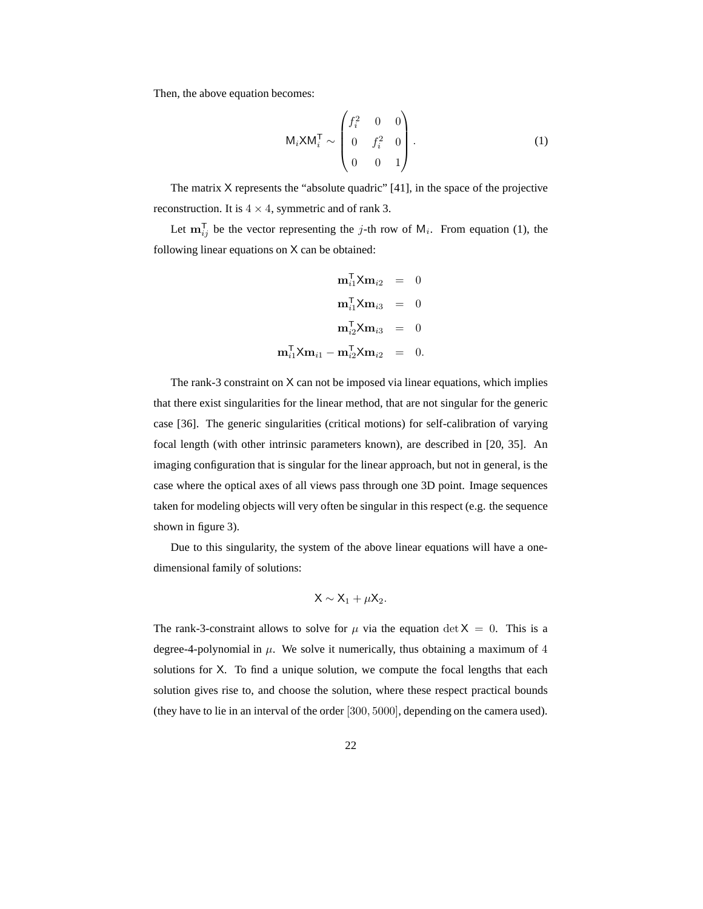Then, the above equation becomes:

$$
M_i \times M_i^T \sim \begin{pmatrix} f_i^2 & 0 & 0 \\ 0 & f_i^2 & 0 \\ 0 & 0 & 1 \end{pmatrix} .
$$
 (1)

The matrix X represents the "absolute quadric" [41], in the space of the projective reconstruction. It is  $4 \times 4$ , symmetric and of rank 3.

Let  $\mathbf{m}_{ij}^{\mathsf{T}}$  be the vector representing the j-th row of  $M_i$ . From equation (1), the following linear equations on X can be obtained:

$$
\mathbf{m}_{i1}^{\mathsf{T}} \mathbf{X} \mathbf{m}_{i2} = 0
$$

$$
\mathbf{m}_{i1}^{\mathsf{T}} \mathbf{X} \mathbf{m}_{i3} = 0
$$

$$
\mathbf{m}_{i2}^{\mathsf{T}} \mathbf{X} \mathbf{m}_{i3} = 0
$$

$$
\mathbf{m}_{i1}^{\mathsf{T}} \mathbf{X} \mathbf{m}_{i1} - \mathbf{m}_{i2}^{\mathsf{T}} \mathbf{X} \mathbf{m}_{i2} = 0.
$$

The rank-3 constraint on X can not be imposed via linear equations, which implies that there exist singularities for the linear method, that are not singular for the generic case [36]. The generic singularities (critical motions) for self-calibration of varying focal length (with other intrinsic parameters known), are described in [20, 35]. An imaging configuration that is singular for the linear approach, but not in general, is the case where the optical axes of all views pass through one 3D point. Image sequences taken for modeling objects will very often be singular in this respect (e.g. the sequence shown in figure 3).

Due to this singularity, the system of the above linear equations will have a onedimensional family of solutions:

$$
\mathsf{X}\sim \mathsf{X}_1+\mu \mathsf{X}_2.
$$

The rank-3-constraint allows to solve for  $\mu$  via the equation det  $X = 0$ . This is a degree-4-polynomial in  $\mu$ . We solve it numerically, thus obtaining a maximum of 4 solutions for X. To find a unique solution, we compute the focal lengths that each solution gives rise to, and choose the solution, where these respect practical bounds (they have to lie in an interval of the order [300, 5000], depending on the camera used).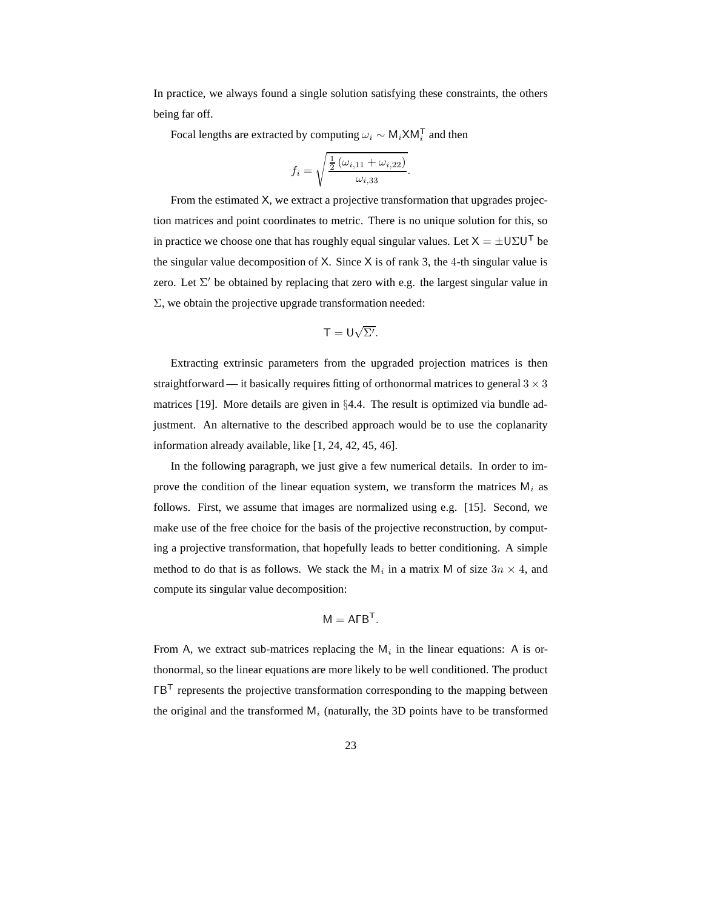In practice, we always found a single solution satisfying these constraints, the others being far off.

Focal lengths are extracted by computing  $\omega_i \sim M_i \times M_i^T$  and then

$$
f_i = \sqrt{\frac{\frac{1}{2} (\omega_{i,11} + \omega_{i,22})}{\omega_{i,33}}}.
$$

From the estimated X, we extract a projective transformation that upgrades projection matrices and point coordinates to metric. There is no unique solution for this, so in practice we choose one that has roughly equal singular values. Let  $X = \pm U \Sigma U^{T}$  be the singular value decomposition of X. Since X is of rank 3, the 4-th singular value is zero. Let  $\Sigma'$  be obtained by replacing that zero with e.g. the largest singular value in Σ, we obtain the projective upgrade transformation needed:

$$
T=U\sqrt{\Sigma'}
$$

Extracting extrinsic parameters from the upgraded projection matrices is then straightforward — it basically requires fitting of orthonormal matrices to general  $3 \times 3$ matrices [19]. More details are given in §4.4. The result is optimized via bundle adjustment. An alternative to the described approach would be to use the coplanarity information already available, like [1, 24, 42, 45, 46].

In the following paragraph, we just give a few numerical details. In order to improve the condition of the linear equation system, we transform the matrices  $M_i$  as follows. First, we assume that images are normalized using e.g. [15]. Second, we make use of the free choice for the basis of the projective reconstruction, by computing a projective transformation, that hopefully leads to better conditioning. A simple method to do that is as follows. We stack the  $M_i$  in a matrix M of size  $3n \times 4$ , and compute its singular value decomposition:

$$
\mathsf{M} = \mathsf{A} \mathsf{F} \mathsf{B}^\mathsf{T}.
$$

From A, we extract sub-matrices replacing the  $M_i$  in the linear equations: A is orthonormal, so the linear equations are more likely to be well conditioned. The product  $\Gamma B^{T}$  represents the projective transformation corresponding to the mapping between the original and the transformed  $M_i$  (naturally, the 3D points have to be transformed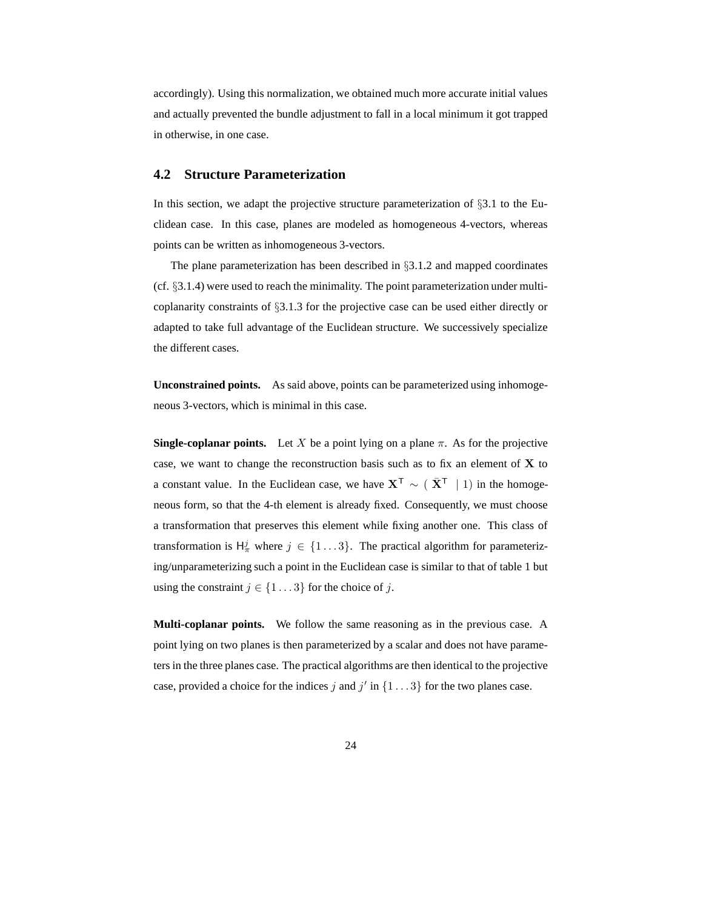accordingly). Using this normalization, we obtained much more accurate initial values and actually prevented the bundle adjustment to fall in a local minimum it got trapped in otherwise, in one case.

#### **4.2 Structure Parameterization**

In this section, we adapt the projective structure parameterization of  $\S 3.1$  to the Euclidean case. In this case, planes are modeled as homogeneous 4-vectors, whereas points can be written as inhomogeneous 3-vectors.

The plane parameterization has been described in §3.1.2 and mapped coordinates (cf.  $\S 3.1.4$ ) were used to reach the minimality. The point parameterization under multicoplanarity constraints of §3.1.3 for the projective case can be used either directly or adapted to take full advantage of the Euclidean structure. We successively specialize the different cases.

**Unconstrained points.** As said above, points can be parameterized using inhomogeneous 3-vectors, which is minimal in this case.

**Single-coplanar points.** Let X be a point lying on a plane  $\pi$ . As for the projective case, we want to change the reconstruction basis such as to fix an element of  $X$  to a constant value. In the Euclidean case, we have  $X^T \sim (\bar{X}^T \mid 1)$  in the homogeneous form, so that the 4-th element is already fixed. Consequently, we must choose a transformation that preserves this element while fixing another one. This class of transformation is  $H^j_\pi$  where  $j \in \{1...3\}$ . The practical algorithm for parameterizing/unparameterizing such a point in the Euclidean case is similar to that of table 1 but using the constraint  $j \in \{1 \dots 3\}$  for the choice of j.

**Multi-coplanar points.** We follow the same reasoning as in the previous case. A point lying on two planes is then parameterized by a scalar and does not have parameters in the three planes case. The practical algorithms are then identical to the projective case, provided a choice for the indices j and j' in  $\{1 \dots 3\}$  for the two planes case.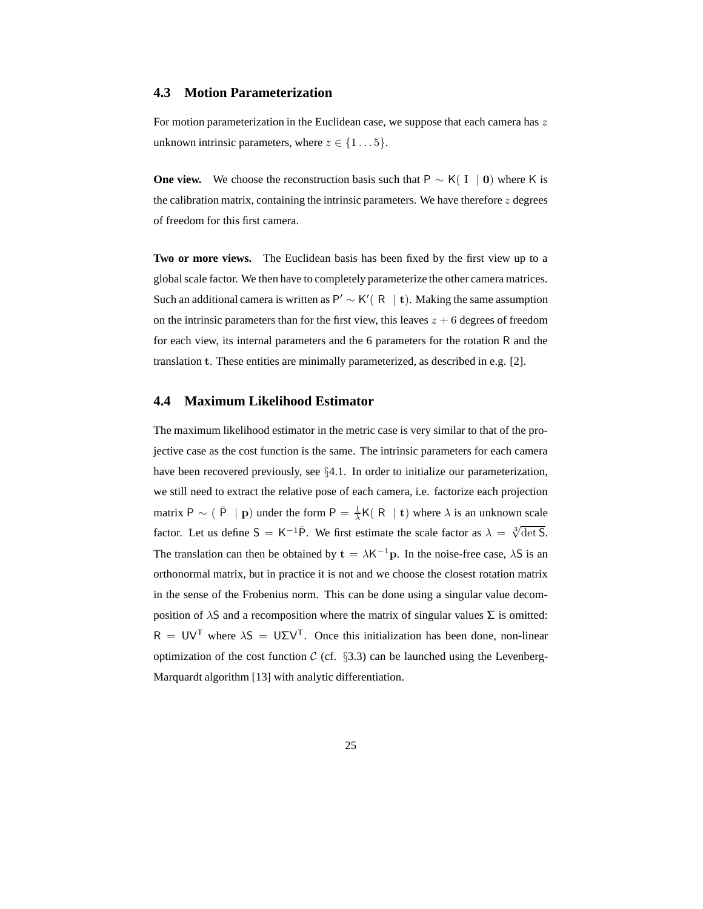#### **4.3 Motion Parameterization**

For motion parameterization in the Euclidean case, we suppose that each camera has  $z$ unknown intrinsic parameters, where  $z \in \{1 \dots 5\}$ .

**One view.** We choose the reconstruction basis such that  $P \sim K(I \mid 0)$  where K is the calibration matrix, containing the intrinsic parameters. We have therefore  $z$  degrees of freedom for this first camera.

**Two or more views.** The Euclidean basis has been fixed by the first view up to a globalscale factor. We then have to completely parameterize the other camera matrices. Such an additional camera is written as P'  $\sim$  K'(R | t). Making the same assumption on the intrinsic parameters than for the first view, this leaves  $z + 6$  degrees of freedom for each view, its internal parameters and the 6 parameters for the rotation R and the translation t. These entities are minimally parameterized, as described in e.g. [2].

### **4.4 Maximum Likelihood Estimator**

The maximum likelihood estimator in the metric case is very similar to that of the projective case as the cost function is the same. The intrinsic parameters for each camera have been recovered previously, see §4.1. In order to initialize our parameterization, we still need to extract the relative pose of each camera, i.e. factorize each projection matrix P  $\sim$  ( $\bar{P}$  | p) under the form P =  $\frac{1}{\lambda}K(R | t)$  where  $\lambda$  is an unknown scale factor. Let us define  $S = K^{-1}\overline{P}$ . We first estimate the scale factor as  $\lambda = \sqrt[3]{\det S}$ . The translation can then be obtained by  $\mathbf{t} = \lambda \mathsf{K}^{-1} \mathbf{p}$ . In the noise-free case,  $\lambda \mathsf{S}$  is an orthonormal matrix, but in practice it is not and we choose the closest rotation matrix in the sense of the Frobenius norm. This can be done using a singular value decomposition of  $\lambda$ S and a recomposition where the matrix of singular values  $\Sigma$  is omitted:  $R = UV^T$  where  $\lambda S = U\Sigma V^T$ . Once this initialization has been done, non-linear optimization of the cost function  $C$  (cf. §3.3) can be launched using the Levenberg-Marquardt algorithm [13] with analytic differentiation.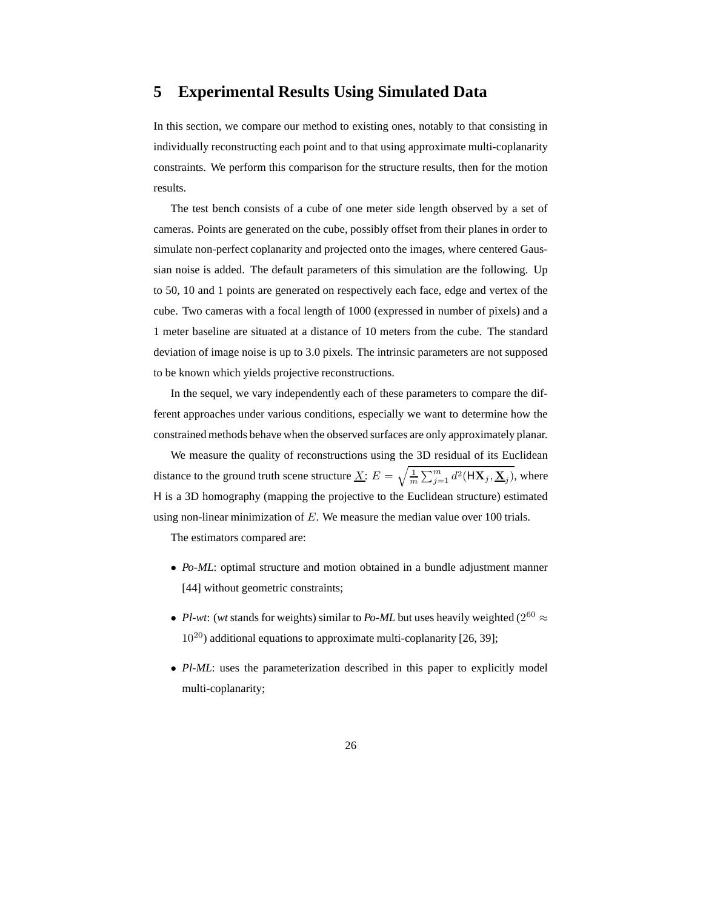### **5 Experimental Results Using Simulated Data**

In this section, we compare our method to existing ones, notably to that consisting in individually reconstructing each point and to that using approximate multi-coplanarity constraints. We perform this comparison for the structure results, then for the motion results.

The test bench consists of a cube of one meter side length observed by a set of cameras. Points are generated on the cube, possibly offset from their planes in order to simulate non-perfect coplanarity and projected onto the images, where centered Gaussian noise is added. The default parameters of this simulation are the following. Up to 50, 10 and 1 points are generated on respectively each face, edge and vertex of the cube. Two cameras with a focal length of 1000 (expressed in number of pixels) and a 1 meter baseline are situated at a distance of 10 meters from the cube. The standard deviation of image noise is up to 3.0 pixels. The intrinsic parameters are not supposed to be known which yields projective reconstructions.

In the sequel, we vary independently each of these parameters to compare the different approaches under various conditions, especially we want to determine how the constrained methods behave when the observed surfaces are only approximately planar.

We measure the quality of reconstructions using the 3D residual of its Euclidean distance to the ground truth scene structure  $\underline{X}$ :  $E = \sqrt{\frac{1}{m}}$  $\frac{1}{m}\sum_{j=1}^m d^2(\mathsf{H}\mathbf{X}_j, \mathbf{\underline{X}}_j)$ , where H is a 3D homography (mapping the projective to the Euclidean structure) estimated using non-linear minimization of  $E$ . We measure the median value over 100 trials.

The estimators compared are:

- *Po-ML*: optimal structure and motion obtained in a bundle adjustment manner [44] without geometric constraints;
- *Pl-wt*: (*wt* stands for weights) similar to *Po-ML* but uses heavily weighted ( $2^{60} \approx$  $10^{20}$ ) additional equations to approximate multi-coplanarity [26, 39];
- *Pl-ML*: uses the parameterization described in this paper to explicitly model multi-coplanarity;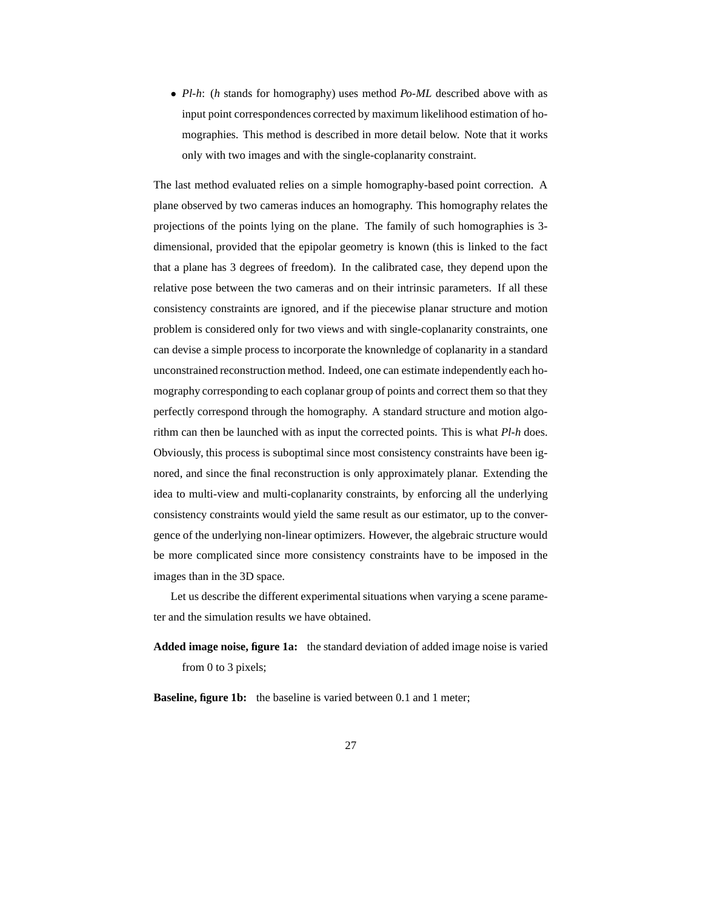• *Pl-h*: (*h* stands for homography) uses method *Po-ML* described above with as input point correspondences corrected by maximum likelihood estimation of homographies. This method is described in more detail below. Note that it works only with two images and with the single-coplanarity constraint.

The last method evaluated relies on a simple homography-based point correction. A plane observed by two cameras induces an homography. This homography relates the projections of the points lying on the plane. The family of such homographies is 3 dimensional, provided that the epipolar geometry is known (this is linked to the fact that a plane has 3 degrees of freedom). In the calibrated case, they depend upon the relative pose between the two cameras and on their intrinsic parameters. If all these consistency constraints are ignored, and if the piecewise planar structure and motion problem is considered only for two views and with single-coplanarity constraints, one can devise a simple process to incorporate the knownledge of coplanarity in a standard unconstrained reconstruction method. Indeed, one can estimate independently each homography corresponding to each coplanar group of points and correct them so that they perfectly correspond through the homography. A standard structure and motion algorithm can then be launched with as input the corrected points. This is what *Pl-h* does. Obviously, this process is suboptimal since most consistency constraints have been ignored, and since the final reconstruction is only approximately planar. Extending the idea to multi-view and multi-coplanarity constraints, by enforcing all the underlying consistency constraints would yield the same result as our estimator, up to the convergence of the underlying non-linear optimizers. However, the algebraic structure would be more complicated since more consistency constraints have to be imposed in the images than in the 3D space.

Let us describe the different experimental situations when varying a scene parameter and the simulation results we have obtained.

**Added image noise, figure 1a:** the standard deviation of added image noise is varied from 0 to 3 pixels;

**Baseline, figure 1b:** the baseline is varied between 0.1 and 1 meter;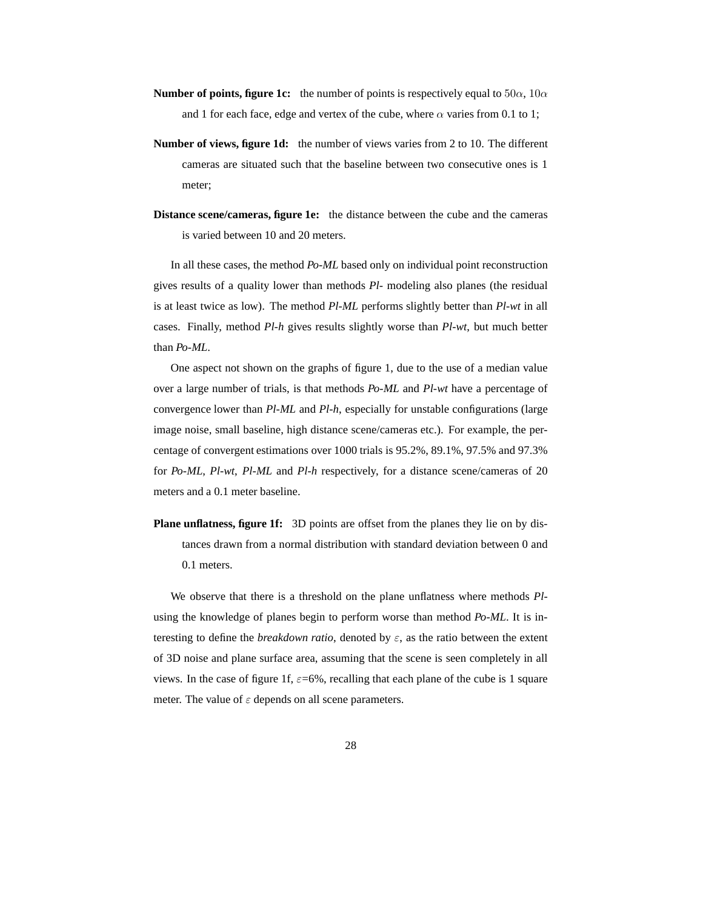- **Number of points, figure 1c:** the number of points is respectively equal to  $50\alpha$ ,  $10\alpha$ and 1 for each face, edge and vertex of the cube, where  $\alpha$  varies from 0.1 to 1;
- **Number of views, figure 1d:** the number of views varies from 2 to 10. The different cameras are situated such that the baseline between two consecutive ones is 1 meter;
- **Distance scene/cameras, figure 1e:** the distance between the cube and the cameras is varied between 10 and 20 meters.

In all these cases, the method *Po-ML* based only on individual point reconstruction gives results of a quality lower than methods *Pl-* modeling also planes (the residual is at least twice as low). The method *Pl-ML* performs slightly better than *Pl-wt* in all cases. Finally, method *Pl-h* gives results slightly worse than *Pl-wt*, but much better than *Po-ML*.

One aspect not shown on the graphs of figure 1, due to the use of a median value over a large number of trials, is that methods *Po-ML* and *Pl-wt* have a percentage of convergence lower than *Pl-ML* and *Pl-h*, especially for unstable configurations (large image noise, small baseline, high distance scene/cameras etc.). For example, the percentage of convergent estimations over 1000 trials is 95.2%, 89.1%, 97.5% and 97.3% for *Po-ML*, *Pl-wt*, *Pl-ML* and *Pl-h* respectively, for a distance scene/cameras of 20 meters and a 0.1 meter baseline.

**Plane unflatness, figure 1f:** 3D points are offset from the planes they lie on by distances drawn from a normal distribution with standard deviation between 0 and 0.1 meters.

We observe that there is a threshold on the plane unflatness where methods *Pl*using the knowledge of planes begin to perform worse than method *Po-ML*. It is interesting to define the *breakdown ratio*, denoted by  $\varepsilon$ , as the ratio between the extent of 3D noise and plane surface area, assuming that the scene is seen completely in all views. In the case of figure 1f,  $\varepsilon$ =6%, recalling that each plane of the cube is 1 square meter. The value of  $\varepsilon$  depends on all scene parameters.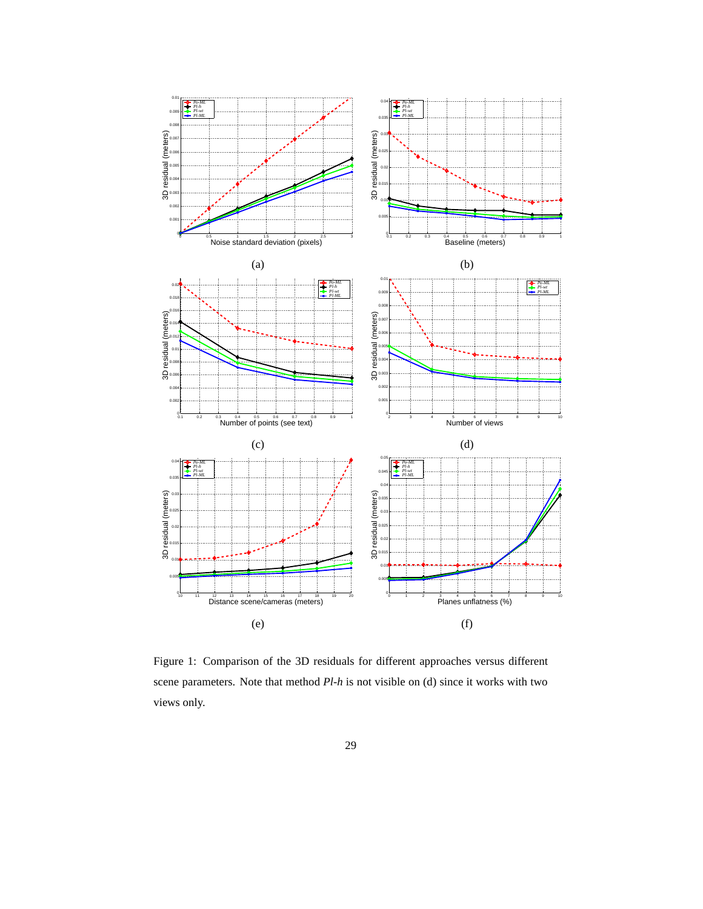

Figure 1: Comparison of the 3D residuals for different approaches versus different scene parameters. Note that method *Pl-h* is not visible on (d) since it works with two views only.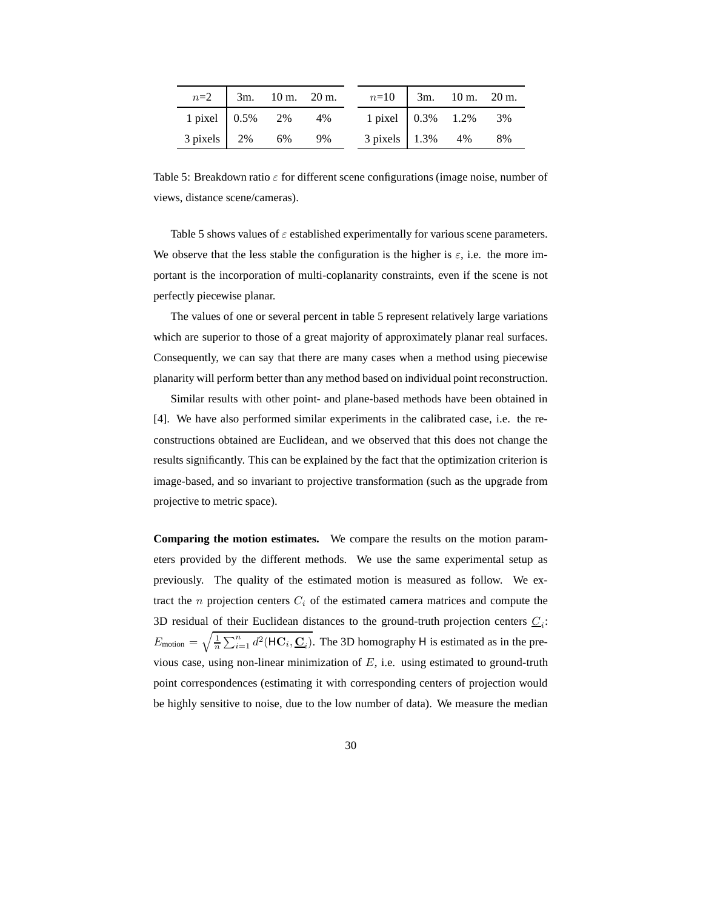|                                                                   |    |    | $n=2$ 3m. 10 m. 20 m. $n=10$ 3m. 10 m. 20 m. |  |  |
|-------------------------------------------------------------------|----|----|----------------------------------------------|--|--|
| 1 pixel $\begin{array}{ l} 0.5\% \quad 2\% \quad 4\% \end{array}$ |    |    | 1 pixel 0.3% 1.2% 3%                         |  |  |
| $3 \text{ pixels}$ 2%                                             | 6% | 9% | 3 pixels 1.3% 4% 8%                          |  |  |

Table 5: Breakdown ratio  $\varepsilon$  for different scene configurations (image noise, number of views, distance scene/cameras).

Table 5 shows values of  $\varepsilon$  established experimentally for various scene parameters. We observe that the less stable the configuration is the higher is  $\varepsilon$ , i.e. the more important is the incorporation of multi-coplanarity constraints, even if the scene is not perfectly piecewise planar.

The values of one or several percent in table 5 represent relatively large variations which are superior to those of a great majority of approximately planar real surfaces. Consequently, we can say that there are many cases when a method using piecewise planarity will perform better than any method based on individual point reconstruction.

Similar results with other point- and plane-based methods have been obtained in [4]. We have also performed similar experiments in the calibrated case, i.e. the reconstructions obtained are Euclidean, and we observed that this does not change the results significantly. This can be explained by the fact that the optimization criterion is image-based, and so invariant to projective transformation (such as the upgrade from projective to metric space).

**Comparing the motion estimates.** We compare the results on the motion parameters provided by the different methods. We use the same experimental setup as previously. The quality of the estimated motion is measured as follow. We extract the *n* projection centers  $C_i$  of the estimated camera matrices and compute the 3D residual of their Euclidean distances to the ground-truth projection centers  $C_i$ :  $E_{\text{motion}} = \sqrt{\frac{1}{n}}$  $\frac{1}{n} \sum_{i=1}^{n} d^2(\text{HC}_i, \underline{\text{C}}_i)$ . The 3D homography H is estimated as in the previous case, using non-linear minimization of  $E$ , i.e. using estimated to ground-truth point correspondences (estimating it with corresponding centers of projection would be highly sensitive to noise, due to the low number of data). We measure the median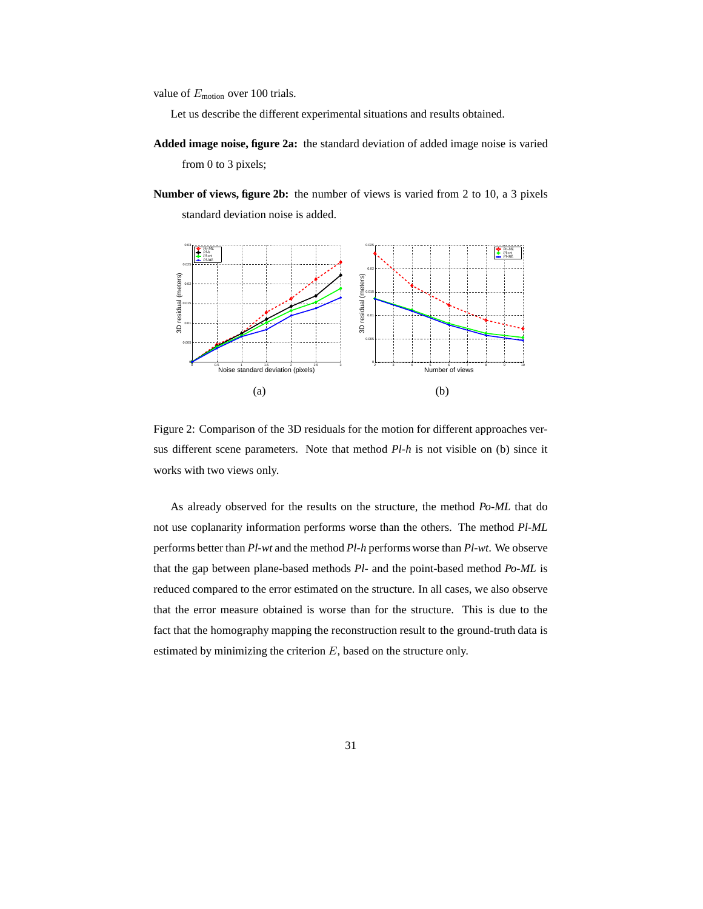value of  $E_{\text{motion}}$  over 100 trials.

Let us describe the different experimental situations and results obtained.

- **Added image noise, figure 2a:** the standard deviation of added image noise is varied from 0 to 3 pixels;
- **Number of views, figure 2b:** the number of views is varied from 2 to 10, a 3 pixels standard deviation noise is added.





As already observed for the results on the structure, the method *Po-ML* that do not use coplanarity information performs worse than the others. The method *Pl-ML* performs better than *Pl-wt* and the method *Pl-h* performs worse than *Pl-wt*. We observe that the gap between plane-based methods *Pl-* and the point-based method *Po-ML* is reduced compared to the error estimated on the structure. In all cases, we also observe that the error measure obtained is worse than for the structure. This is due to the fact that the homography mapping the reconstruction result to the ground-truth data is estimated by minimizing the criterion  $E$ , based on the structure only.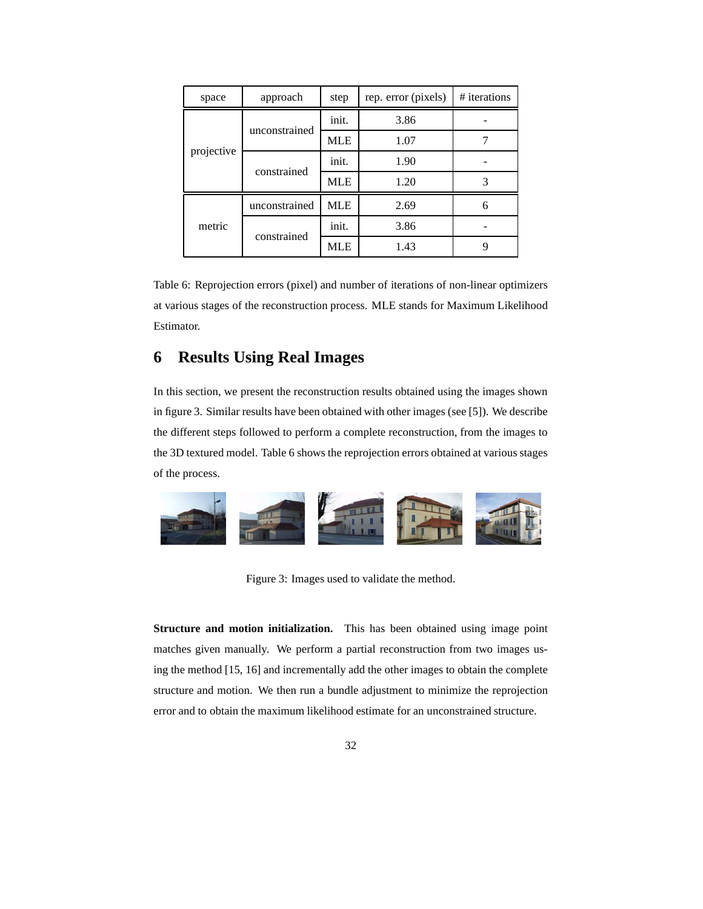| space      | approach      | step       | rep. error (pixels) | # iterations |
|------------|---------------|------------|---------------------|--------------|
|            | unconstrained | init.      | 3.86                |              |
|            |               | <b>MLE</b> | 1.07                |              |
| projective |               | init.      | 1.90                |              |
|            | constrained   | <b>MLE</b> | 1.20                |              |
|            | unconstrained | MLE        | 2.69                | 6            |
| metric     | constrained   | init.      | 3.86                |              |
|            |               | <b>MLE</b> | 1.43                | 9            |

Table 6: Reprojection errors (pixel) and number of iterations of non-linear optimizers at various stages of the reconstruction process. MLE stands for Maximum Likelihood Estimator.

# **6 Results Using Real Images**

In this section, we present the reconstruction results obtained using the images shown in figure 3. Similar results have been obtained with other images (see [5]). We describe the different steps followed to perform a complete reconstruction, from the images to the 3D textured model. Table 6 shows the reprojection errors obtained at various stages of the process.



Figure 3: Images used to validate the method.

**Structure and motion initialization.** This has been obtained using image point matches given manually. We perform a partial reconstruction from two images using the method [15, 16] and incrementally add the other images to obtain the complete structure and motion. We then run a bundle adjustment to minimize the reprojection error and to obtain the maximum likelihood estimate for an unconstrained structure.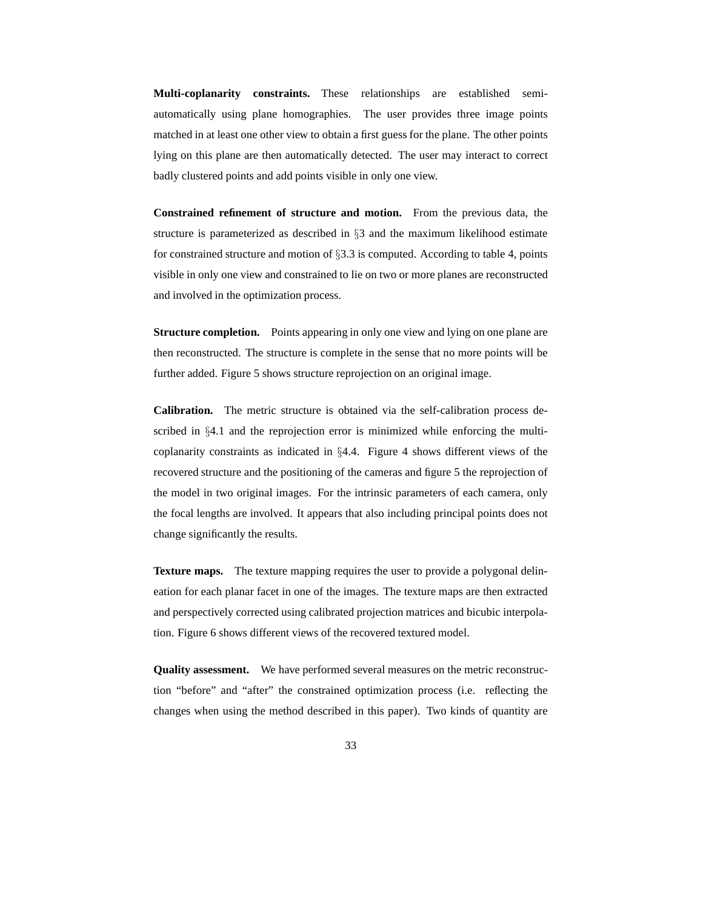**Multi-coplanarity constraints.** These relationships are established semiautomatically using plane homographies. The user provides three image points matched in at least one other view to obtain a first guess for the plane. The other points lying on this plane are then automatically detected. The user may interact to correct badly clustered points and add points visible in only one view.

**Constrained refinement of structure and motion.** From the previous data, the structure is parameterized as described in §3 and the maximum likelihood estimate for constrained structure and motion of  $\S 3.3$  is computed. According to table 4, points visible in only one view and constrained to lie on two or more planes are reconstructed and involved in the optimization process.

**Structure completion.** Points appearing in only one view and lying on one plane are then reconstructed. The structure is complete in the sense that no more points will be further added. Figure 5 shows structure reprojection on an original image.

**Calibration.** The metric structure is obtained via the self-calibration process described in §4.1 and the reprojection error is minimized while enforcing the multicoplanarity constraints as indicated in §4.4. Figure 4 shows different views of the recovered structure and the positioning of the cameras and figure 5 the reprojection of the model in two original images. For the intrinsic parameters of each camera, only the focal lengths are involved. It appears that also including principal points does not change significantly the results.

**Texture maps.** The texture mapping requires the user to provide a polygonal delineation for each planar facet in one of the images. The texture maps are then extracted and perspectively corrected using calibrated projection matrices and bicubic interpolation. Figure 6 shows different views of the recovered textured model.

**Quality assessment.** We have performed several measures on the metric reconstruction "before" and "after" the constrained optimization process (i.e. reflecting the changes when using the method described in this paper). Two kinds of quantity are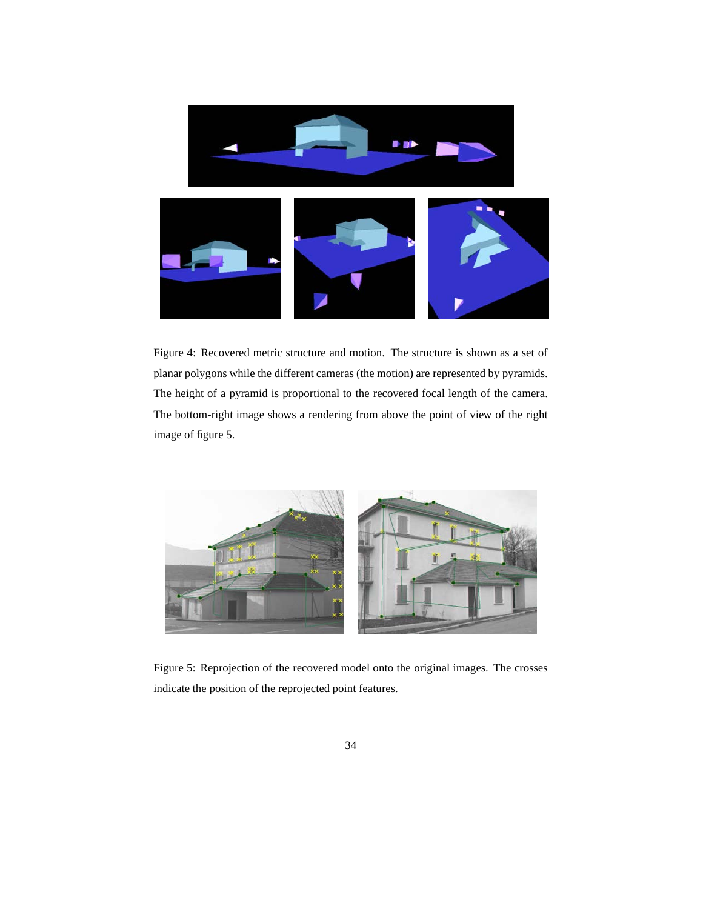

Figure 4: Recovered metric structure and motion. The structure is shown as a set of planar polygons while the different cameras (the motion) are represented by pyramids. The height of a pyramid is proportional to the recovered focal length of the camera. The bottom-right image shows a rendering from above the point of view of the right image of figure 5.



Figure 5: Reprojection of the recovered model onto the original images. The crosses indicate the position of the reprojected point features.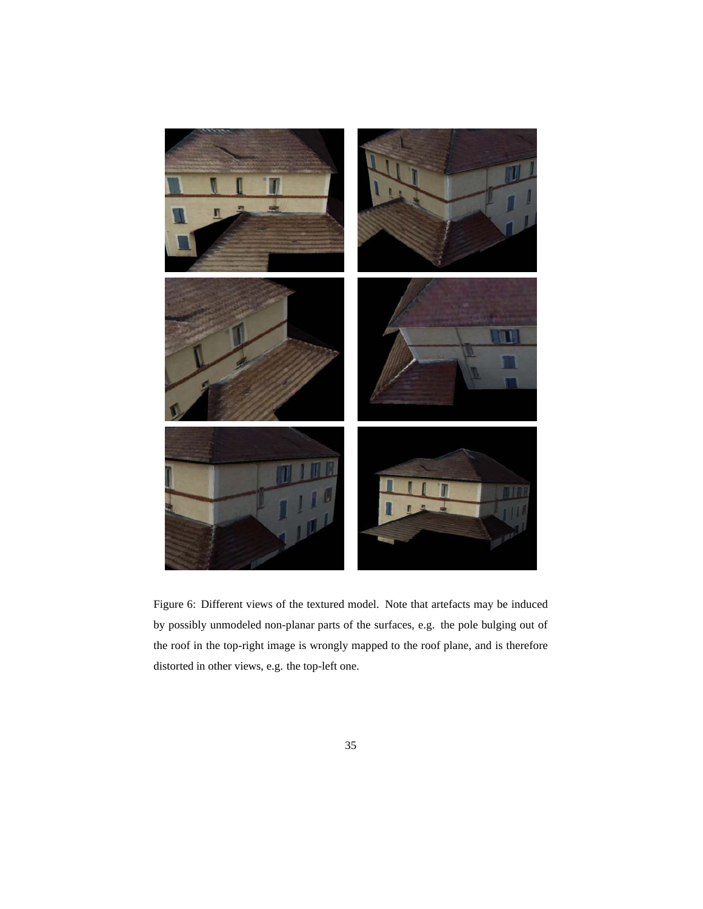

Figure 6: Different views of the textured model. Note that artefacts may be induced by possibly unmodeled non-planar parts of the surfaces, e.g. the pole bulging out of the roof in the top-right image is wrongly mapped to the roof plane, and is therefore distorted in other views, e.g. the top-left one.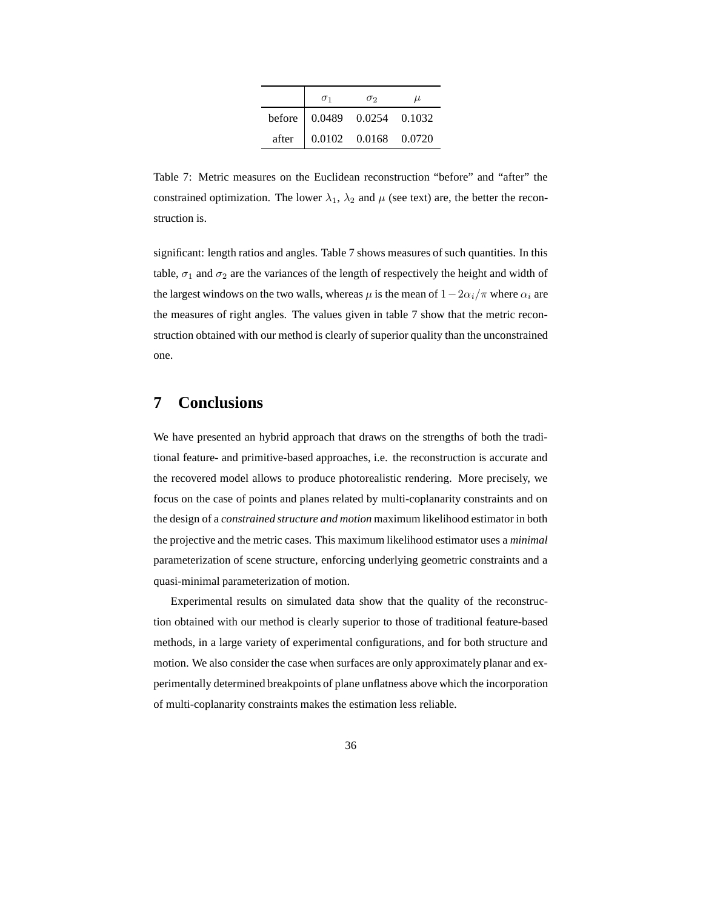| $\sigma_1$                  | $\sigma_2$ | $\mu$ |
|-----------------------------|------------|-------|
| before 0.0489 0.0254 0.1032 |            |       |
| after 0.0102 0.0168 0.0720  |            |       |

Table 7: Metric measures on the Euclidean reconstruction "before" and "after" the constrained optimization. The lower  $\lambda_1$ ,  $\lambda_2$  and  $\mu$  (see text) are, the better the reconstruction is.

significant: length ratios and angles. Table 7 shows measures of such quantities. In this table,  $\sigma_1$  and  $\sigma_2$  are the variances of the length of respectively the height and width of the largest windows on the two walls, whereas  $\mu$  is the mean of  $1-2\alpha_i/\pi$  where  $\alpha_i$  are the measures of right angles. The values given in table 7 show that the metric reconstruction obtained with our method is clearly of superior quality than the unconstrained one.

## **7 Conclusions**

We have presented an hybrid approach that draws on the strengths of both the traditional feature- and primitive-based approaches, i.e. the reconstruction is accurate and the recovered model allows to produce photorealistic rendering. More precisely, we focus on the case of points and planes related by multi-coplanarity constraints and on the design of a *constrained structure and motion* maximum likelihood estimator in both the projective and the metric cases. This maximum likelihood estimator uses a *minimal* parameterization of scene structure, enforcing underlying geometric constraints and a quasi-minimal parameterization of motion.

Experimental results on simulated data show that the quality of the reconstruction obtained with our method is clearly superior to those of traditional feature-based methods, in a large variety of experimental configurations, and for both structure and motion. We also consider the case when surfaces are only approximately planar and experimentally determined breakpoints of plane unflatness above which the incorporation of multi-coplanarity constraints makes the estimation less reliable.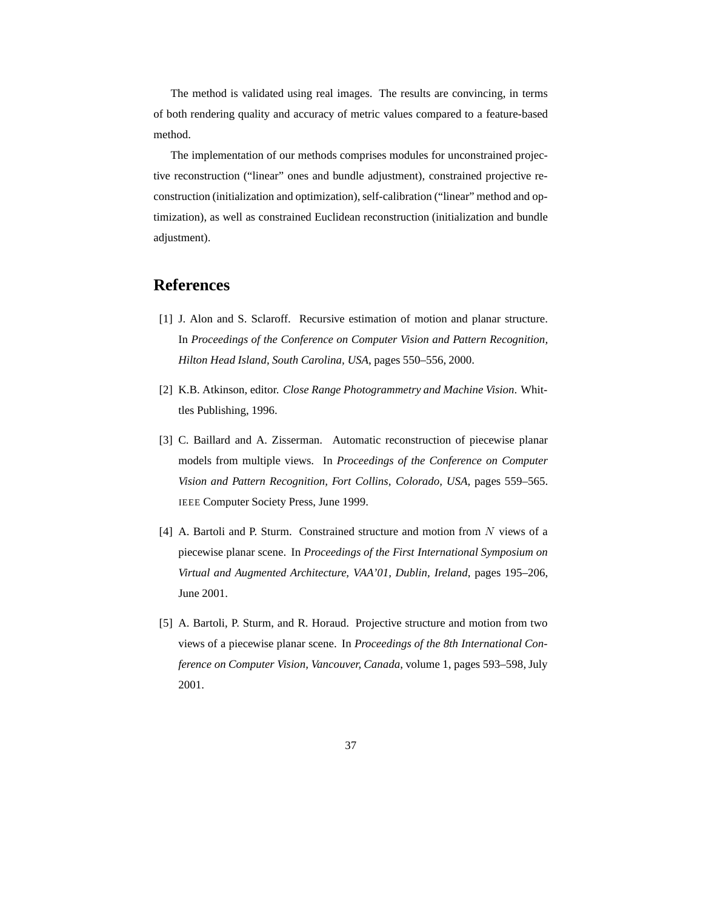The method is validated using real images. The results are convincing, in terms of both rendering quality and accuracy of metric values compared to a feature-based method.

The implementation of our methods comprises modules for unconstrained projective reconstruction ("linear" ones and bundle adjustment), constrained projective reconstruction (initialization and optimization), self-calibration ("linear" method and optimization), as well as constrained Euclidean reconstruction (initialization and bundle adjustment).

# **References**

- [1] J. Alon and S. Sclaroff. Recursive estimation of motion and planar structure. In *Proceedings of the Conference on Computer Vision and Pattern Recognition, Hilton Head Island, South Carolina, USA*, pages 550–556, 2000.
- [2] K.B. Atkinson, editor. *Close Range Photogrammetry and Machine Vision*. Whittles Publishing, 1996.
- [3] C. Baillard and A. Zisserman. Automatic reconstruction of piecewise planar models from multiple views. In *Proceedings of the Conference on Computer Vision and Pattern Recognition, Fort Collins, Colorado, USA*, pages 559–565. IEEE Computer Society Press, June 1999.
- [4] A. Bartoli and P. Sturm. Constrained structure and motion from N views of a piecewise planar scene. In *Proceedings of the First International Symposium on Virtual and Augmented Architecture, VAA'01, Dublin, Ireland*, pages 195–206, June 2001.
- [5] A. Bartoli, P. Sturm, and R. Horaud. Projective structure and motion from two views of a piecewise planar scene. In *Proceedings of the 8th International Conference on Computer Vision, Vancouver, Canada*, volume 1, pages 593–598, July 2001.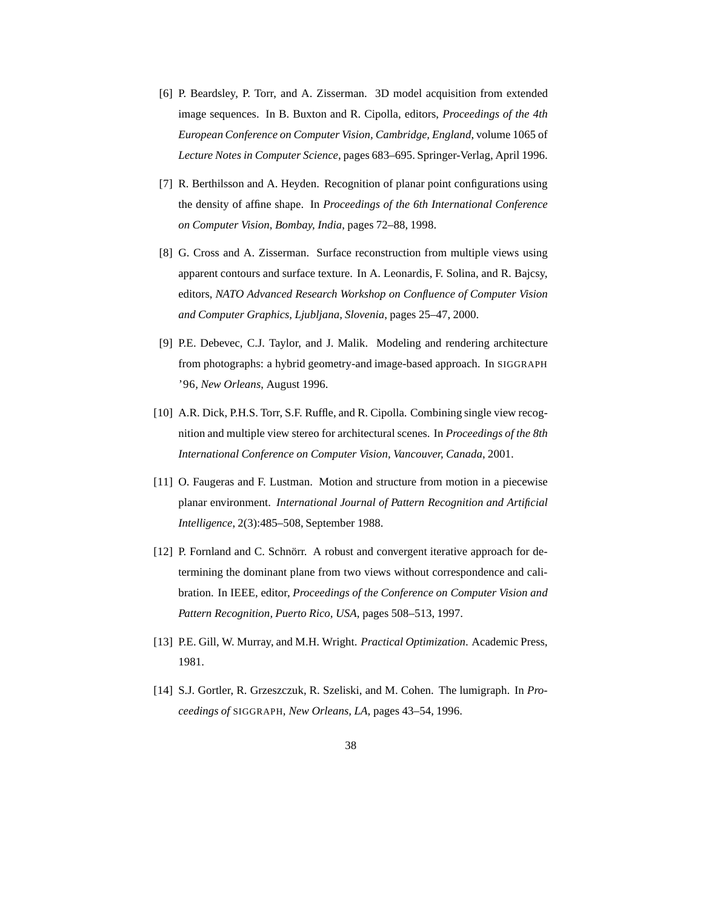- [6] P. Beardsley, P. Torr, and A. Zisserman. 3D model acquisition from extended image sequences. In B. Buxton and R. Cipolla, editors, *Proceedings of the 4th European Conference on Computer Vision, Cambridge, England*, volume 1065 of *Lecture Notes in Computer Science*, pages 683–695. Springer-Verlag, April 1996.
- [7] R. Berthilsson and A. Heyden. Recognition of planar point configurations using the density of affine shape. In *Proceedings of the 6th International Conference on Computer Vision, Bombay, India*, pages 72–88, 1998.
- [8] G. Cross and A. Zisserman. Surface reconstruction from multiple views using apparent contours and surface texture. In A. Leonardis, F. Solina, and R. Bajcsy, editors, *NATO Advanced Research Workshop on Confluence of Computer Vision and Computer Graphics, Ljubljana, Slovenia*, pages 25–47, 2000.
- [9] P.E. Debevec, C.J. Taylor, and J. Malik. Modeling and rendering architecture from photographs: a hybrid geometry-and image-based approach. In SIGGRAPH '96*, New Orleans*, August 1996.
- [10] A.R. Dick, P.H.S. Torr, S.F. Ruffle, and R. Cipolla. Combining single view recognition and multiple view stereo for architectural scenes. In *Proceedings of the 8th International Conference on Computer Vision, Vancouver, Canada*, 2001.
- [11] O. Faugeras and F. Lustman. Motion and structure from motion in a piecewise planar environment. *International Journal of Pattern Recognition and Artificial Intelligence*, 2(3):485–508, September 1988.
- [12] P. Fornland and C. Schnörr. A robust and convergent iterative approach for determining the dominant plane from two views without correspondence and calibration. In IEEE, editor, *Proceedings of the Conference on Computer Vision and Pattern Recognition, Puerto Rico, USA*, pages 508–513, 1997.
- [13] P.E. Gill, W. Murray, and M.H. Wright. *Practical Optimization*. Academic Press, 1981.
- [14] S.J. Gortler, R. Grzeszczuk, R. Szeliski, and M. Cohen. The lumigraph. In *Proceedings of* SIGGRAPH*, New Orleans, LA*, pages 43–54, 1996.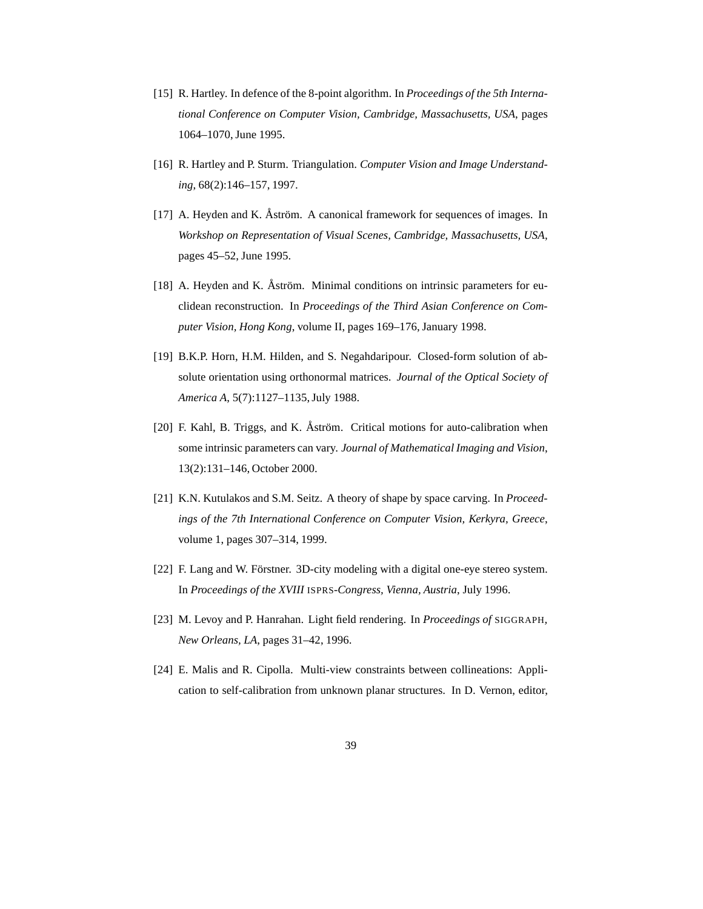- [15] R. Hartley. In defence of the 8-point algorithm. In *Proceedings of the 5th International Conference on Computer Vision, Cambridge, Massachusetts, USA*, pages 1064–1070, June 1995.
- [16] R. Hartley and P. Sturm. Triangulation. *Computer Vision and Image Understanding*, 68(2):146–157, 1997.
- [17] A. Heyden and K. Åström. A canonical framework for sequences of images. In *Workshop on Representation of Visual Scenes, Cambridge, Massachusetts, USA*, pages 45–52, June 1995.
- [18] A. Heyden and K. Åström. Minimal conditions on intrinsic parameters for euclidean reconstruction. In *Proceedings of the Third Asian Conference on Computer Vision, Hong Kong*, volume II, pages 169–176, January 1998.
- [19] B.K.P. Horn, H.M. Hilden, and S. Negahdaripour. Closed-form solution of absolute orientation using orthonormal matrices. *Journal of the Optical Society of America A*, 5(7):1127–1135,July 1988.
- [20] F. Kahl, B. Triggs, and K. Åström. Critical motions for auto-calibration when some intrinsic parameters can vary. *Journal of Mathematical Imaging and Vision*, 13(2):131–146, October 2000.
- [21] K.N. Kutulakos and S.M. Seitz. A theory of shape by space carving. In *Proceedings of the 7th International Conference on Computer Vision, Kerkyra, Greece*, volume 1, pages 307–314, 1999.
- [22] F. Lang and W. Förstner. 3D-city modeling with a digital one-eye stereo system. In *Proceedings of the XVIII* ISPRS*-Congress, Vienna, Austria*, July 1996.
- [23] M. Levoy and P. Hanrahan. Light field rendering. In *Proceedings of* SIGGRAPH*, New Orleans, LA*, pages 31–42, 1996.
- [24] E. Malis and R. Cipolla. Multi-view constraints between collineations: Application to self-calibration from unknown planar structures. In D. Vernon, editor,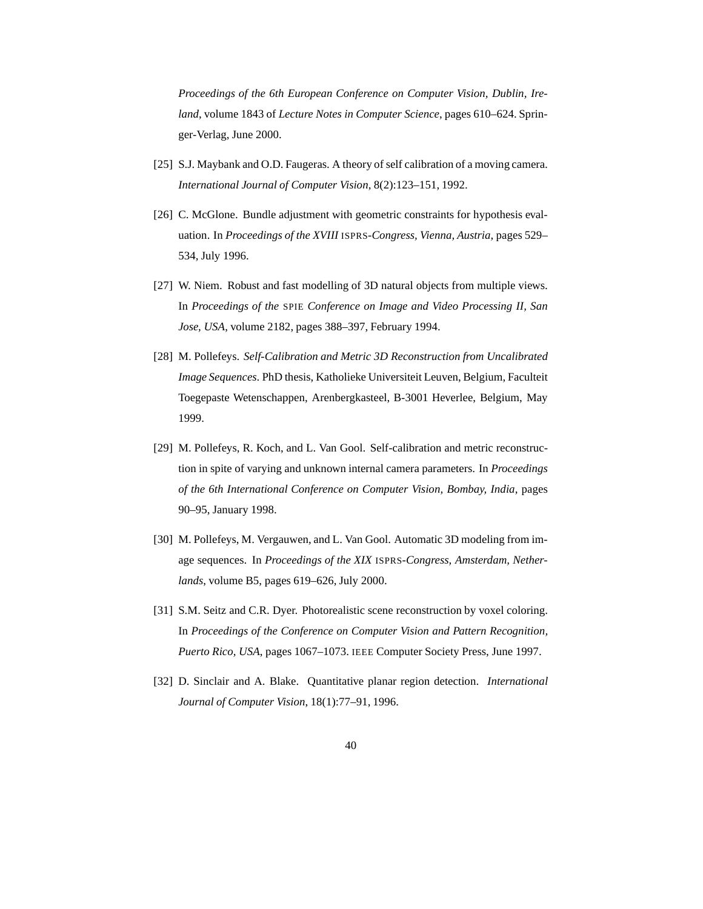*Proceedings of the 6th European Conference on Computer Vision, Dublin, Ireland*, volume 1843 of *Lecture Notes in Computer Science*, pages 610–624. Springer-Verlag, June 2000.

- [25] S.J. Maybank and O.D. Faugeras. A theory of self calibration of a moving camera. *International Journal of Computer Vision*, 8(2):123–151, 1992.
- [26] C. McGlone. Bundle adjustment with geometric constraints for hypothesis evaluation. In *Proceedings of the XVIII* ISPRS*-Congress, Vienna, Austria*, pages 529– 534, July 1996.
- [27] W. Niem. Robust and fast modelling of 3D natural objects from multiple views. In *Proceedings of the* SPIE *Conference on Image and Video Processing II, San Jose, USA*, volume 2182, pages 388–397, February 1994.
- [28] M. Pollefeys. *Self-Calibration and Metric 3D Reconstruction from Uncalibrated Image Sequences*. PhD thesis, Katholieke Universiteit Leuven, Belgium, Faculteit Toegepaste Wetenschappen, Arenbergkasteel, B-3001 Heverlee, Belgium, May 1999.
- [29] M. Pollefeys, R. Koch, and L. Van Gool. Self-calibration and metric reconstruction in spite of varying and unknown internal camera parameters. In *Proceedings of the 6th International Conference on Computer Vision, Bombay, India*, pages 90–95, January 1998.
- [30] M. Pollefeys, M. Vergauwen, and L. Van Gool. Automatic 3D modeling from image sequences. In *Proceedings of the XIX* ISPRS*-Congress, Amsterdam, Netherlands*, volume B5, pages 619–626, July 2000.
- [31] S.M. Seitz and C.R. Dyer. Photorealistic scene reconstruction by voxel coloring. In *Proceedings of the Conference on Computer Vision and Pattern Recognition, Puerto Rico, USA*, pages 1067–1073. IEEE Computer Society Press, June 1997.
- [32] D. Sinclair and A. Blake. Quantitative planar region detection. *International Journal of Computer Vision*, 18(1):77–91, 1996.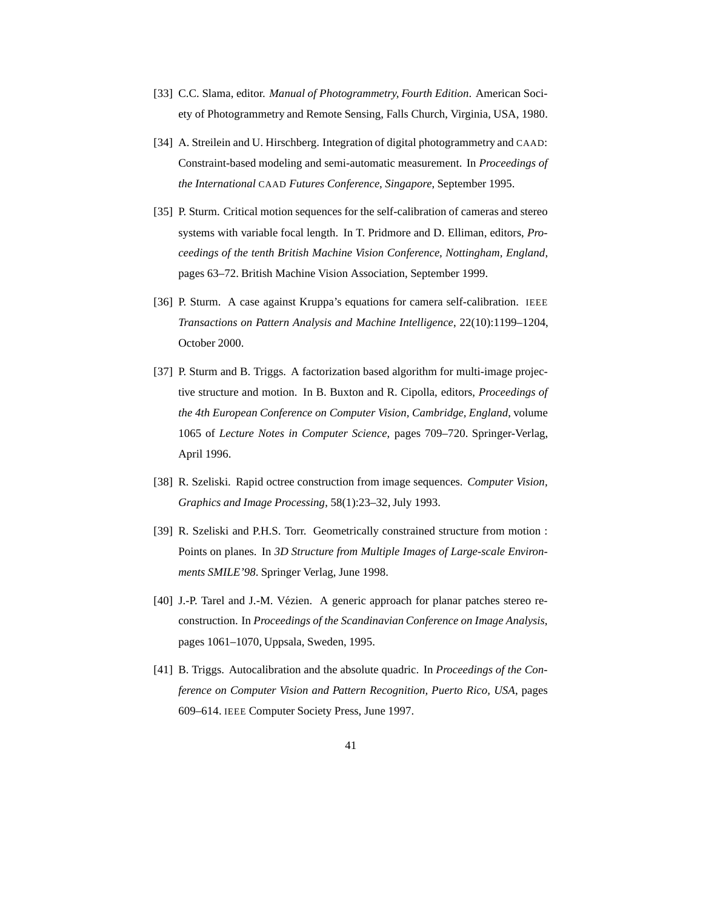- [33] C.C. Slama, editor. *Manual of Photogrammetry, Fourth Edition*. American Society of Photogrammetry and Remote Sensing, Falls Church, Virginia, USA, 1980.
- [34] A. Streilein and U. Hirschberg. Integration of digital photogrammetry and CAAD: Constraint-based modeling and semi-automatic measurement. In *Proceedings of the International* CAAD *Futures Conference, Singapore*, September 1995.
- [35] P. Sturm. Critical motion sequences for the self-calibration of cameras and stereo systems with variable focal length. In T. Pridmore and D. Elliman, editors, *Proceedings of the tenth British Machine Vision Conference, Nottingham, England*, pages 63–72. British Machine Vision Association, September 1999.
- [36] P. Sturm. A case against Kruppa's equations for camera self-calibration. IEEE *Transactions on Pattern Analysis and Machine Intelligence*, 22(10):1199–1204, October 2000.
- [37] P. Sturm and B. Triggs. A factorization based algorithm for multi-image projective structure and motion. In B. Buxton and R. Cipolla, editors, *Proceedings of the 4th European Conference on Computer Vision, Cambridge, England*, volume 1065 of *Lecture Notes in Computer Science*, pages 709–720. Springer-Verlag, April 1996.
- [38] R. Szeliski. Rapid octree construction from image sequences. *Computer Vision, Graphics and Image Processing*, 58(1):23–32, July 1993.
- [39] R. Szeliski and P.H.S. Torr. Geometrically constrained structure from motion : Points on planes. In *3D Structure from Multiple Images of Large-scale Environments SMILE'98*. Springer Verlag, June 1998.
- [40] J.-P. Tarel and J.-M. Vézien. A generic approach for planar patches stereo reconstruction. In *Proceedings of the Scandinavian Conference on Image Analysis*, pages 1061–1070, Uppsala, Sweden, 1995.
- [41] B. Triggs. Autocalibration and the absolute quadric. In *Proceedings of the Conference on Computer Vision and Pattern Recognition, Puerto Rico, USA*, pages 609–614. IEEE Computer Society Press, June 1997.